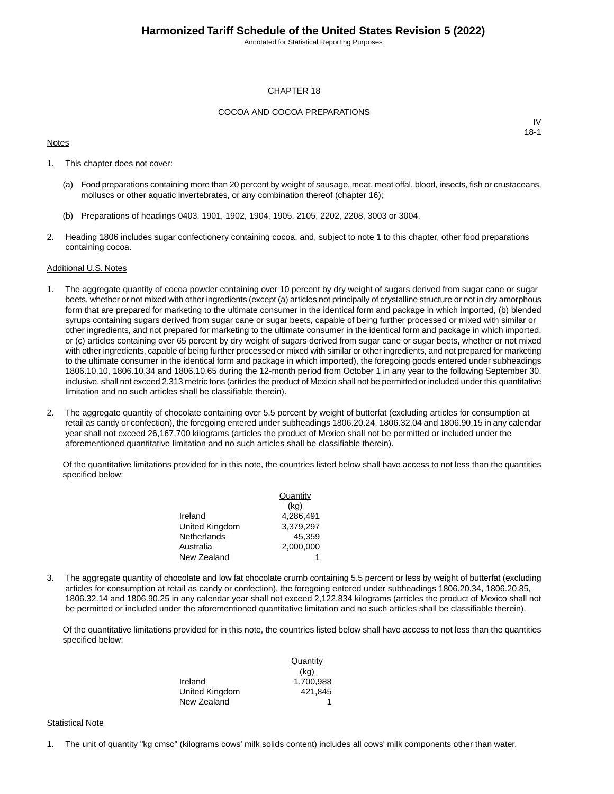Annotated for Statistical Reporting Purposes

#### CHAPTER 18

#### COCOA AND COCOA PREPARATIONS

#### **Notes**

IV 18-1

- 1. This chapter does not cover:
	- (a) Food preparations containing more than 20 percent by weight of sausage, meat, meat offal, blood, insects, fish or crustaceans, molluscs or other aquatic invertebrates, or any combination thereof (chapter 16);
	- (b) Preparations of headings 0403, 1901, 1902, 1904, 1905, 2105, 2202, 2208, 3003 or 3004.
- 2. Heading 1806 includes sugar confectionery containing cocoa, and, subject to note 1 to this chapter, other food preparations containing cocoa.

#### Additional U.S. Notes

- 1. The aggregate quantity of cocoa powder containing over 10 percent by dry weight of sugars derived from sugar cane or sugar beets, whether or not mixed with other ingredients (except (a) articles not principally of crystalline structure or not in dry amorphous form that are prepared for marketing to the ultimate consumer in the identical form and package in which imported, (b) blended syrups containing sugars derived from sugar cane or sugar beets, capable of being further processed or mixed with similar or other ingredients, and not prepared for marketing to the ultimate consumer in the identical form and package in which imported, or (c) articles containing over 65 percent by dry weight of sugars derived from sugar cane or sugar beets, whether or not mixed with other ingredients, capable of being further processed or mixed with similar or other ingredients, and not prepared for marketing to the ultimate consumer in the identical form and package in which imported), the foregoing goods entered under subheadings 1806.10.10, 1806.10.34 and 1806.10.65 during the 12-month period from October 1 in any year to the following September 30, inclusive, shall not exceed 2,313 metric tons (articles the product of Mexico shall not be permitted or included under this quantitative limitation and no such articles shall be classifiable therein).
- 2. The aggregate quantity of chocolate containing over 5.5 percent by weight of butterfat (excluding articles for consumption at retail as candy or confection), the foregoing entered under subheadings 1806.20.24, 1806.32.04 and 1806.90.15 in any calendar year shall not exceed 26,167,700 kilograms (articles the product of Mexico shall not be permitted or included under the aforementioned quantitative limitation and no such articles shall be classifiable therein).

Of the quantitative limitations provided for in this note, the countries listed below shall have access to not less than the quantities specified below:

|                | Quantity  |
|----------------|-----------|
|                | (kq)      |
| Ireland        | 4.286.491 |
| United Kingdom | 3.379.297 |
| Netherlands    | 45.359    |
| Australia      | 2.000.000 |
| New Zealand    |           |

3. The aggregate quantity of chocolate and low fat chocolate crumb containing 5.5 percent or less by weight of butterfat (excluding articles for consumption at retail as candy or confection), the foregoing entered under subheadings 1806.20.34, 1806.20.85, 1806.32.14 and 1806.90.25 in any calendar year shall not exceed 2,122,834 kilograms (articles the product of Mexico shall not be permitted or included under the aforementioned quantitative limitation and no such articles shall be classifiable therein).

Of the quantitative limitations provided for in this note, the countries listed below shall have access to not less than the quantities specified below:

|                | Quantity  |
|----------------|-----------|
|                | (kq)      |
| Ireland        | 1.700.988 |
| United Kingdom | 421.845   |
| New Zealand    |           |

#### **Statistical Note**

1. The unit of quantity "kg cmsc" (kilograms cows' milk solids content) includes all cows' milk components other than water.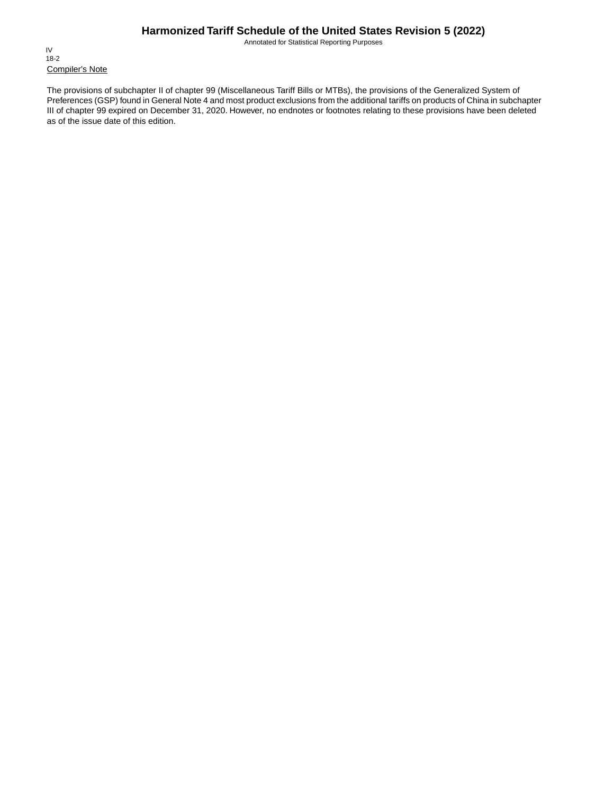Annotated for Statistical Reporting Purposes

Compiler's Note IV 18-2

The provisions of subchapter II of chapter 99 (Miscellaneous Tariff Bills or MTBs), the provisions of the Generalized System of Preferences (GSP) found in General Note 4 and most product exclusions from the additional tariffs on products of China in subchapter III of chapter 99 expired on December 31, 2020. However, no endnotes or footnotes relating to these provisions have been deleted as of the issue date of this edition.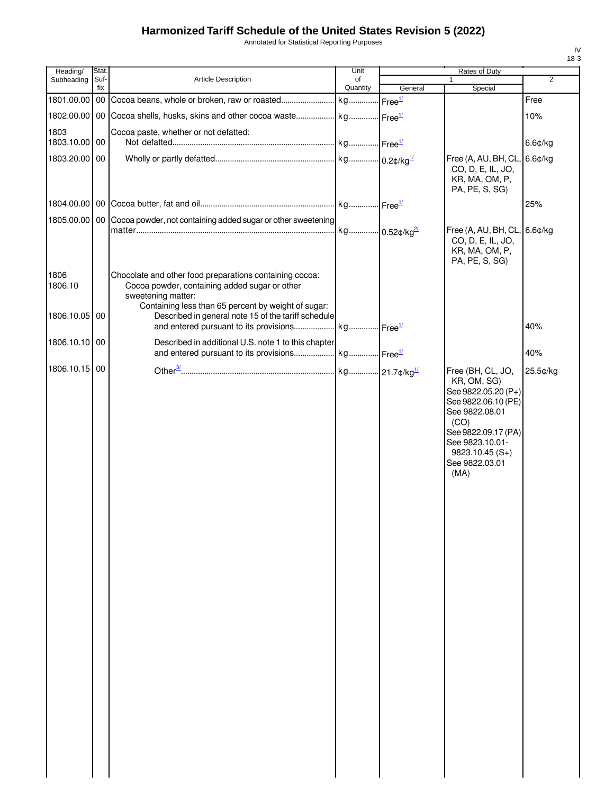Annotated for Statistical Reporting Purposes

| Stat.         |                                                                     | Unit                                                                                                                                                                                  |                                                                                                                                                                                                          | Rates of Duty                                                                                                                                                                                    |                                                                                              |
|---------------|---------------------------------------------------------------------|---------------------------------------------------------------------------------------------------------------------------------------------------------------------------------------|----------------------------------------------------------------------------------------------------------------------------------------------------------------------------------------------------------|--------------------------------------------------------------------------------------------------------------------------------------------------------------------------------------------------|----------------------------------------------------------------------------------------------|
| Suf-<br>fix   |                                                                     | of                                                                                                                                                                                    |                                                                                                                                                                                                          | 1                                                                                                                                                                                                | $\overline{2}$                                                                               |
|               |                                                                     |                                                                                                                                                                                       |                                                                                                                                                                                                          |                                                                                                                                                                                                  | Free                                                                                         |
|               |                                                                     |                                                                                                                                                                                       |                                                                                                                                                                                                          |                                                                                                                                                                                                  | 10%                                                                                          |
|               |                                                                     |                                                                                                                                                                                       |                                                                                                                                                                                                          |                                                                                                                                                                                                  |                                                                                              |
| 1803.10.00 00 |                                                                     |                                                                                                                                                                                       |                                                                                                                                                                                                          |                                                                                                                                                                                                  | 6.6¢/kg                                                                                      |
| 1803.20.00 00 |                                                                     |                                                                                                                                                                                       |                                                                                                                                                                                                          |                                                                                                                                                                                                  |                                                                                              |
|               |                                                                     |                                                                                                                                                                                       |                                                                                                                                                                                                          | KR, MA, OM, P,<br>PA, PE, S, SG)                                                                                                                                                                 |                                                                                              |
|               |                                                                     |                                                                                                                                                                                       |                                                                                                                                                                                                          |                                                                                                                                                                                                  | 25%                                                                                          |
|               |                                                                     |                                                                                                                                                                                       |                                                                                                                                                                                                          |                                                                                                                                                                                                  |                                                                                              |
|               |                                                                     |                                                                                                                                                                                       |                                                                                                                                                                                                          | CO, D, E, IL, JO,<br>KR, MA, OM, P,<br>PA, PE, S, SG)                                                                                                                                            |                                                                                              |
|               | Cocoa powder, containing added sugar or other<br>sweetening matter: |                                                                                                                                                                                       |                                                                                                                                                                                                          |                                                                                                                                                                                                  |                                                                                              |
| 1806.10.05 00 |                                                                     |                                                                                                                                                                                       |                                                                                                                                                                                                          |                                                                                                                                                                                                  |                                                                                              |
|               |                                                                     |                                                                                                                                                                                       |                                                                                                                                                                                                          |                                                                                                                                                                                                  | 40%                                                                                          |
| 1806.10.10 00 |                                                                     |                                                                                                                                                                                       |                                                                                                                                                                                                          |                                                                                                                                                                                                  | 40%                                                                                          |
|               |                                                                     |                                                                                                                                                                                       |                                                                                                                                                                                                          |                                                                                                                                                                                                  |                                                                                              |
| 1806.10.15 00 |                                                                     |                                                                                                                                                                                       |                                                                                                                                                                                                          | Free (BH, CL, JO,<br>KR, OM, SG)<br>See 9822.05.20 (P+)<br>See 9822.06.10 (PE)<br>See 9822.08.01<br>(CO)<br>See 9822.09.17 (PA)<br>See 9823.10.01-<br>$9823.10.45(S+)$<br>See 9822.03.01<br>(MA) | 25.5¢/kg                                                                                     |
|               |                                                                     | <b>Article Description</b><br>Cocoa paste, whether or not defatted:<br>Chocolate and other food preparations containing cocoa:<br>Containing less than 65 percent by weight of sugar: | Quantity<br>1805.00.00   00   Cocoa powder, not containing added sugar or other sweetening<br>Described in general note 15 of the tariff schedule<br>Described in additional U.S. note 1 to this chapter | General<br>1802.00.00 00 Cocoa shells, husks, skins and other cocoa waste kg Free <sup>1/</sup>                                                                                                  | Special<br>Free (A, AU, BH, CL, 6.6¢/kg<br>CO, D, E, IL, JO,<br>Free (A, AU, BH, CL, 6.6¢/kg |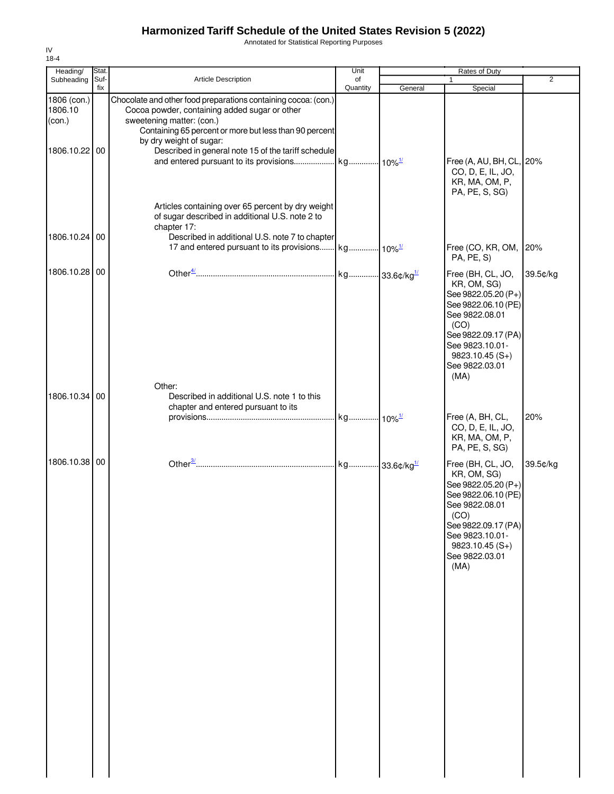Annotated for Statistical Reporting Purposes

| Heading/                         | Stat.       |                                                                                                                                                                       | Unit                      |         | Rates of Duty                                                                                                                                                                                    |                |
|----------------------------------|-------------|-----------------------------------------------------------------------------------------------------------------------------------------------------------------------|---------------------------|---------|--------------------------------------------------------------------------------------------------------------------------------------------------------------------------------------------------|----------------|
| Subheading                       | Suf-<br>fix | <b>Article Description</b>                                                                                                                                            | of                        |         | 1                                                                                                                                                                                                | $\overline{2}$ |
| 1806 (con.)<br>1806.10<br>(con.) |             | Chocolate and other food preparations containing cocoa: (con.)<br>Cocoa powder, containing added sugar or other<br>sweetening matter: (con.)                          | Quantity                  | General | Special                                                                                                                                                                                          |                |
| 1806.10.22 00                    |             | Containing 65 percent or more but less than 90 percent<br>by dry weight of sugar:<br>Described in general note 15 of the tariff schedule                              |                           |         | Free (A, AU, BH, CL, 20%<br>CO, D, E, IL, JO,<br>KR, MA, OM, P,<br>PA, PE, S, SG)                                                                                                                |                |
| 1806.10.24 00                    |             | Articles containing over 65 percent by dry weight<br>of sugar described in additional U.S. note 2 to<br>chapter 17:<br>Described in additional U.S. note 7 to chapter |                           |         | Free (CO, KR, OM, 20%                                                                                                                                                                            |                |
|                                  |             |                                                                                                                                                                       |                           |         | PA, PE, S)                                                                                                                                                                                       |                |
| 1806.10.28                       | 00          |                                                                                                                                                                       | kg 33.6¢/kg <sup>1/</sup> |         | Free (BH, CL, JO,<br>KR, OM, SG)<br>See 9822.05.20 (P+)<br>See 9822.06.10 (PE)<br>See 9822.08.01<br>(CO)<br>See 9822.09.17 (PA)<br>See 9823.10.01-<br>$9823.10.45(S+)$<br>See 9822.03.01<br>(MA) | 39.5¢/kg       |
|                                  |             | Other:                                                                                                                                                                |                           |         |                                                                                                                                                                                                  |                |
| 1806.10.34 00                    |             | Described in additional U.S. note 1 to this<br>chapter and entered pursuant to its                                                                                    |                           |         | Free (A, BH, CL,<br>CO, D, E, IL, JO,<br>KR, MA, OM, P,<br>PA, PE, S, SG)                                                                                                                        | 20%            |
| 1806.10.38 00                    |             |                                                                                                                                                                       |                           |         | Free (BH, CL, JO,<br>KR, OM, SG)<br>See 9822.05.20 (P+)<br>See 9822.06.10 (PE)<br>See 9822.08.01<br>(CO)<br>See 9822.09.17 (PA)<br>See 9823.10.01-<br>$9823.10.45(S+)$<br>See 9822.03.01<br>(MA) | 39.5¢/kg       |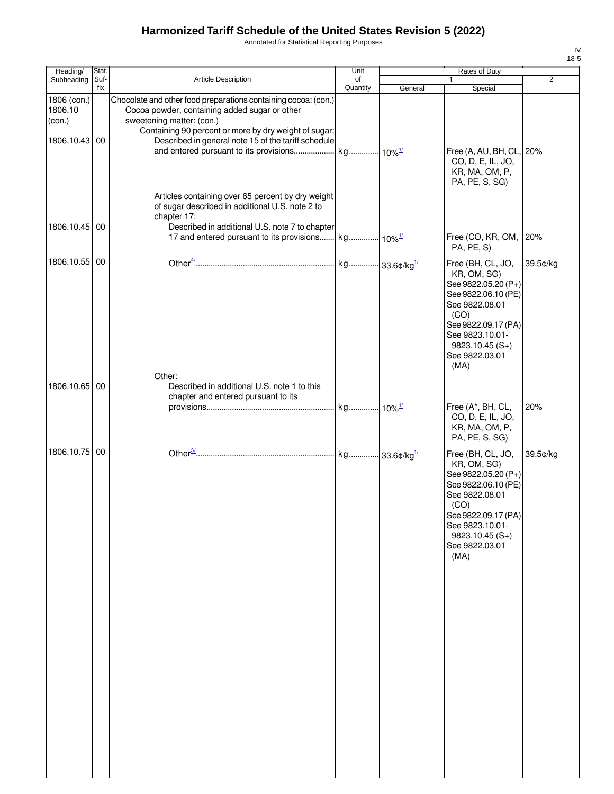Annotated for Statistical Reporting Purposes

| Heading/                         | <b>Stat</b> |                                                                                                                                                                                                       | Unit                      |         | Rates of Duty                                                                                                                                                                                    |                |
|----------------------------------|-------------|-------------------------------------------------------------------------------------------------------------------------------------------------------------------------------------------------------|---------------------------|---------|--------------------------------------------------------------------------------------------------------------------------------------------------------------------------------------------------|----------------|
| Subheading                       | Suf-<br>fix | Article Description                                                                                                                                                                                   | of<br>Quantity            | General | 1<br>Special                                                                                                                                                                                     | $\overline{2}$ |
| 1806 (con.)<br>1806.10<br>(con.) |             | Chocolate and other food preparations containing cocoa: (con.)<br>Cocoa powder, containing added sugar or other<br>sweetening matter: (con.)<br>Containing 90 percent or more by dry weight of sugar: |                           |         |                                                                                                                                                                                                  |                |
| 1806.10.43                       | 00          | Described in general note 15 of the tariff schedule                                                                                                                                                   |                           |         | Free (A, AU, BH, CL, 20%<br>CO, D, E, IL, JO,<br>KR, MA, OM, P,<br>PA, PE, S, SG)                                                                                                                |                |
| 1806.10.45 00                    |             | Articles containing over 65 percent by dry weight<br>of sugar described in additional U.S. note 2 to<br>chapter 17:<br>Described in additional U.S. note 7 to chapter                                 |                           |         |                                                                                                                                                                                                  |                |
|                                  |             |                                                                                                                                                                                                       |                           |         | Free (CO, KR, OM, 20%<br>PA, PE, S)                                                                                                                                                              |                |
| 1806.10.55                       | 00          |                                                                                                                                                                                                       | kg 33.6¢/kg <sup>1/</sup> |         | Free (BH, CL, JO,<br>KR, OM, SG)<br>See 9822.05.20 (P+)<br>See 9822.06.10 (PE)<br>See 9822.08.01<br>(CO)<br>See 9822.09.17 (PA)<br>See 9823.10.01-<br>$9823.10.45(S+)$<br>See 9822.03.01<br>(MA) | 39.5¢/kg       |
| 1806.10.65 00                    |             | Other:<br>Described in additional U.S. note 1 to this                                                                                                                                                 |                           |         |                                                                                                                                                                                                  |                |
|                                  |             | chapter and entered pursuant to its                                                                                                                                                                   |                           |         | Free (A*, BH, CL,<br>CO, D, E, IL, JO,<br>KR, MA, OM, P,<br>PA, PE, S, SG)                                                                                                                       | 20%            |
| 1806.10.75                       | 00          |                                                                                                                                                                                                       |                           |         | Free (BH, CL, JO,<br>KR, OM, SG)<br>See 9822.05.20 (P+)<br>See 9822.06.10 (PE)<br>See 9822.08.01<br>(CO)<br>See 9822.09.17 (PA)<br>See 9823.10.01-<br>$9823.10.45(S+)$<br>See 9822.03.01<br>(MA) | 39.5¢/kg       |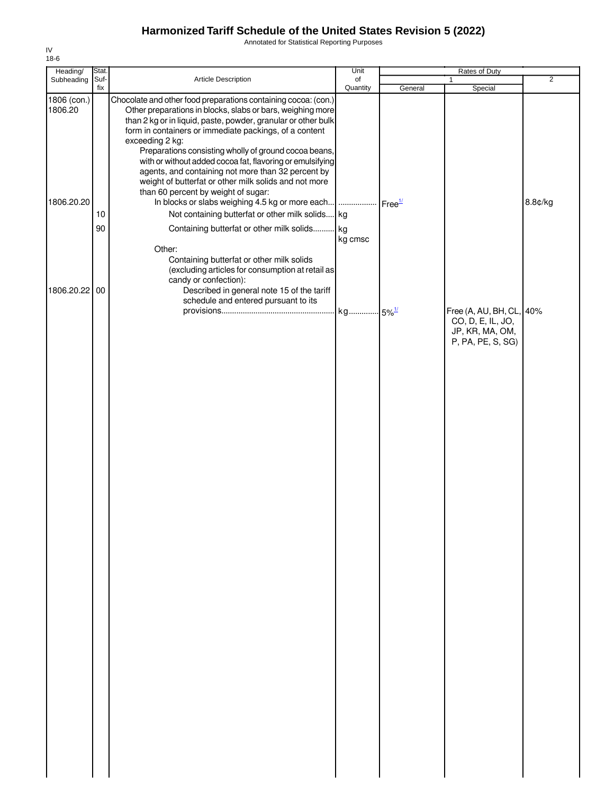Annotated for Statistical Reporting Purposes

| Heading/               | Stat.       |                                                                                                                                                                                                                                                                                                                                                                                                  | Unit           |         | Rates of Duty                                                                         |                |
|------------------------|-------------|--------------------------------------------------------------------------------------------------------------------------------------------------------------------------------------------------------------------------------------------------------------------------------------------------------------------------------------------------------------------------------------------------|----------------|---------|---------------------------------------------------------------------------------------|----------------|
| Subheading             | Suf-<br>fix | Article Description                                                                                                                                                                                                                                                                                                                                                                              | of<br>Quantity | General | $\mathbf{1}$<br>Special                                                               | $\overline{2}$ |
| 1806 (con.)<br>1806.20 |             | Chocolate and other food preparations containing cocoa: (con.)<br>Other preparations in blocks, slabs or bars, weighing more<br>than 2 kg or in liquid, paste, powder, granular or other bulk<br>form in containers or immediate packings, of a content<br>exceeding 2 kg:<br>Preparations consisting wholly of ground cocoa beans,<br>with or without added cocoa fat, flavoring or emulsifying |                |         |                                                                                       |                |
| 1806.20.20             | 10<br>90    | agents, and containing not more than 32 percent by<br>weight of butterfat or other milk solids and not more<br>than 60 percent by weight of sugar:<br>In blocks or slabs weighing 4.5 kg or more each    Free <sup>1/</sup><br>Not containing butterfat or other milk solids kg<br>Containing butterfat or other milk solids kg                                                                  | kg cmsc        |         |                                                                                       | 8.8¢/kg        |
| 1806.20.22 00          |             | Other:<br>Containing butterfat or other milk solids<br>(excluding articles for consumption at retail as<br>candy or confection):<br>Described in general note 15 of the tariff                                                                                                                                                                                                                   |                |         |                                                                                       |                |
|                        |             | schedule and entered pursuant to its                                                                                                                                                                                                                                                                                                                                                             |                |         | Free (A, AU, BH, CL, 40%<br>CO, D, E, IL, JO,<br>JP, KR, MA, OM,<br>P, PA, PE, S, SG) |                |
|                        |             |                                                                                                                                                                                                                                                                                                                                                                                                  |                |         |                                                                                       |                |
|                        |             |                                                                                                                                                                                                                                                                                                                                                                                                  |                |         |                                                                                       |                |
|                        |             |                                                                                                                                                                                                                                                                                                                                                                                                  |                |         |                                                                                       |                |
|                        |             |                                                                                                                                                                                                                                                                                                                                                                                                  |                |         |                                                                                       |                |
|                        |             |                                                                                                                                                                                                                                                                                                                                                                                                  |                |         |                                                                                       |                |
|                        |             |                                                                                                                                                                                                                                                                                                                                                                                                  |                |         |                                                                                       |                |
|                        |             |                                                                                                                                                                                                                                                                                                                                                                                                  |                |         |                                                                                       |                |
|                        |             |                                                                                                                                                                                                                                                                                                                                                                                                  |                |         |                                                                                       |                |
|                        |             |                                                                                                                                                                                                                                                                                                                                                                                                  |                |         |                                                                                       |                |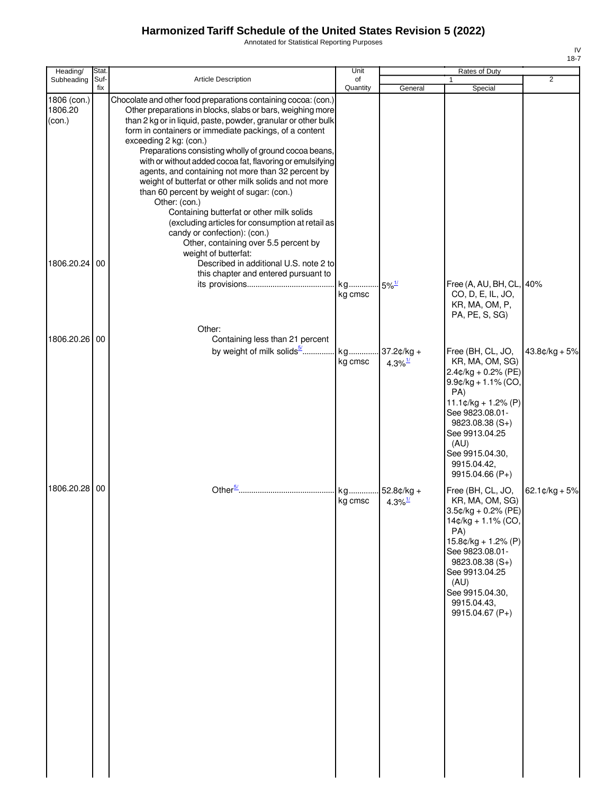Annotated for Statistical Reporting Purposes

| Heading/                         | Stat.       |                                                                                                                                                                                                                                                                                                                                                                                                                                                                                                                                                                                                                                                                                                                                                                                         | Unit           |                                     | Rates of Duty                                                                                                                                                                                                                                 |                          |
|----------------------------------|-------------|-----------------------------------------------------------------------------------------------------------------------------------------------------------------------------------------------------------------------------------------------------------------------------------------------------------------------------------------------------------------------------------------------------------------------------------------------------------------------------------------------------------------------------------------------------------------------------------------------------------------------------------------------------------------------------------------------------------------------------------------------------------------------------------------|----------------|-------------------------------------|-----------------------------------------------------------------------------------------------------------------------------------------------------------------------------------------------------------------------------------------------|--------------------------|
| Subheading                       | Suf-<br>fix | <b>Article Description</b>                                                                                                                                                                                                                                                                                                                                                                                                                                                                                                                                                                                                                                                                                                                                                              | of<br>Quantity | General                             | Special                                                                                                                                                                                                                                       | 2                        |
| 1806 (con.)<br>1806.20<br>(con.) |             | Chocolate and other food preparations containing cocoa: (con.)<br>Other preparations in blocks, slabs or bars, weighing more<br>than 2 kg or in liquid, paste, powder, granular or other bulk<br>form in containers or immediate packings, of a content<br>exceeding 2 kg: (con.)<br>Preparations consisting wholly of ground cocoa beans,<br>with or without added cocoa fat, flavoring or emulsifying<br>agents, and containing not more than 32 percent by<br>weight of butterfat or other milk solids and not more<br>than 60 percent by weight of sugar: (con.)<br>Other: (con.)<br>Containing butterfat or other milk solids<br>(excluding articles for consumption at retail as<br>candy or confection): (con.)<br>Other, containing over 5.5 percent by<br>weight of butterfat: |                |                                     |                                                                                                                                                                                                                                               |                          |
| 1806.20.24 00                    |             | Described in additional U.S. note 2 to<br>this chapter and entered pursuant to                                                                                                                                                                                                                                                                                                                                                                                                                                                                                                                                                                                                                                                                                                          | kg<br>kg cmsc  | $-5\%$ <sup>1/</sup>                | Free (A, AU, BH, CL, 40%<br>CO, D, E, IL, JO,<br>KR, MA, OM, P,<br>PA, PE, S, SG)                                                                                                                                                             |                          |
|                                  |             | Other:                                                                                                                                                                                                                                                                                                                                                                                                                                                                                                                                                                                                                                                                                                                                                                                  |                |                                     |                                                                                                                                                                                                                                               |                          |
| 1806.20.26 00                    |             | Containing less than 21 percent<br>by weight of milk solids <sup>5</sup>                                                                                                                                                                                                                                                                                                                                                                                                                                                                                                                                                                                                                                                                                                                | kg<br>kg cmsc  | $37.2¢/kg +$<br>4.3% $\frac{1}{2}$  | Free (BH, CL, JO,<br>KR, MA, OM, SG)<br>$2.4$ ¢/kg + 0.2% (PE)<br>$9.9$ ¢/kg + 1.1% (CO,<br>PA)<br>$11.1¢/kg + 1.2% (P)$<br>See 9823.08.01-<br>9823.08.38 (S+)<br>See 9913.04.25<br>(AU)<br>See 9915.04.30,<br>9915.04.42,<br>9915.04.66 (P+) | $43.8¢/kg + 5%$          |
| 1806.20.28 00                    |             |                                                                                                                                                                                                                                                                                                                                                                                                                                                                                                                                                                                                                                                                                                                                                                                         | kg<br>kg cmsc  | 52.8¢/kg +<br>$4.3\%$ <sup>1/</sup> | Free (BH, CL, JO,<br>KR, MA, OM, SG)<br>3.5¢/kg + 0.2% (PE)<br>14¢/kg + 1.1% (CO,<br>PA)<br>$15.8¢/kg + 1.2% (P)$<br>See 9823.08.01-<br>9823.08.38 (S+)<br>See 9913.04.25<br>(AU)<br>See 9915.04.30,<br>9915.04.43,<br>9915.04.67 (P+)        | 62.1 $\text{c/kg} + 5\%$ |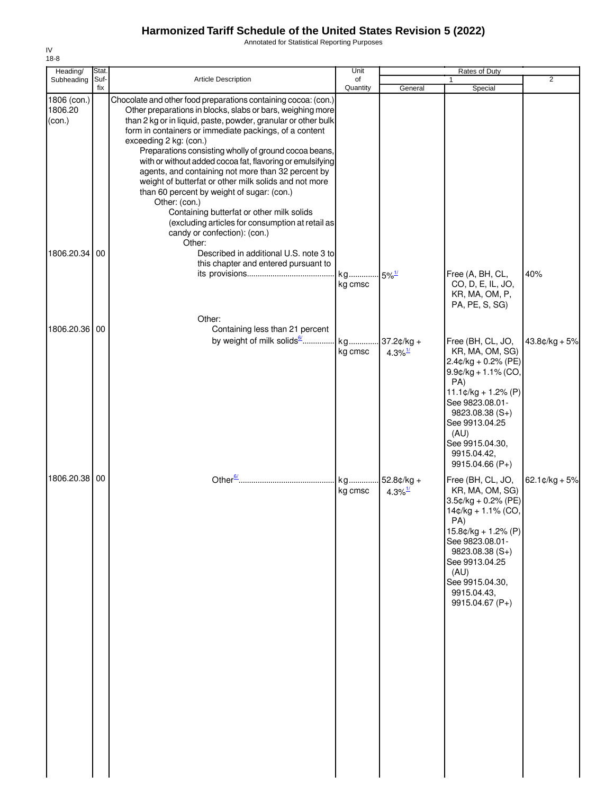Annotated for Statistical Reporting Purposes

| Heading/                         | Stat.       |                                                                                                                                                                                                                                                                                                                                                                                                                                                                                                                                                                                                                                                                                                                                  | Unit           |                                     | Rates of Duty                                                                                                                                                                                                                                  |                          |
|----------------------------------|-------------|----------------------------------------------------------------------------------------------------------------------------------------------------------------------------------------------------------------------------------------------------------------------------------------------------------------------------------------------------------------------------------------------------------------------------------------------------------------------------------------------------------------------------------------------------------------------------------------------------------------------------------------------------------------------------------------------------------------------------------|----------------|-------------------------------------|------------------------------------------------------------------------------------------------------------------------------------------------------------------------------------------------------------------------------------------------|--------------------------|
| Subheading                       | Suf-<br>fix | <b>Article Description</b>                                                                                                                                                                                                                                                                                                                                                                                                                                                                                                                                                                                                                                                                                                       | of<br>Quantity | General                             | $\mathbf{1}$<br>Special                                                                                                                                                                                                                        | 2                        |
| 1806 (con.)<br>1806.20<br>(con.) |             | Chocolate and other food preparations containing cocoa: (con.)<br>Other preparations in blocks, slabs or bars, weighing more<br>than 2 kg or in liquid, paste, powder, granular or other bulk<br>form in containers or immediate packings, of a content<br>exceeding 2 kg: (con.)<br>Preparations consisting wholly of ground cocoa beans,<br>with or without added cocoa fat, flavoring or emulsifying<br>agents, and containing not more than 32 percent by<br>weight of butterfat or other milk solids and not more<br>than 60 percent by weight of sugar: (con.)<br>Other: (con.)<br>Containing butterfat or other milk solids<br>(excluding articles for consumption at retail as<br>candy or confection): (con.)<br>Other: |                |                                     |                                                                                                                                                                                                                                                |                          |
| 1806.20.34                       | 00          | Described in additional U.S. note 3 to<br>this chapter and entered pursuant to<br>Other:                                                                                                                                                                                                                                                                                                                                                                                                                                                                                                                                                                                                                                         | kg<br>kg cmsc  | $5\%$ <sup>1/</sup>                 | Free (A, BH, CL,<br>CO, D, E, IL, JO,<br>KR, MA, OM, P,<br>PA, PE, S, SG)                                                                                                                                                                      | 40%                      |
| 1806.20.36                       | 00          | Containing less than 21 percent                                                                                                                                                                                                                                                                                                                                                                                                                                                                                                                                                                                                                                                                                                  |                |                                     |                                                                                                                                                                                                                                                |                          |
|                                  |             | by weight of milk solids <sup>6</sup>                                                                                                                                                                                                                                                                                                                                                                                                                                                                                                                                                                                                                                                                                            | kg<br>kg cmsc  | $37.2¢/kg +$<br>4.3% $\frac{1}{2}$  | Free (BH, CL, JO,<br>KR, MA, OM, SG)<br>$2.4$ ¢/kg + 0.2% (PE)<br>$9.9$ ¢/kg + 1.1% (CO,<br>PA)<br>$11.1¢/kg + 1.2% (P)$<br>See 9823.08.01-<br>$9823.08.38(S+)$<br>See 9913.04.25<br>(AU)<br>See 9915.04.30,<br>9915.04.42,<br>9915.04.66 (P+) | $43.8¢/kg + 5%$          |
| 1806.20.38 00                    |             |                                                                                                                                                                                                                                                                                                                                                                                                                                                                                                                                                                                                                                                                                                                                  | kg<br>kg cmsc  | 52.8¢/kg +<br>$4.3\%$ <sup>1/</sup> | Free (BH, CL, JO,<br>KR, MA, OM, SG)<br>3.5¢/kg + 0.2% (PE)<br>14¢/kg + 1.1% (CO,<br>PA)<br>$15.8¢/kg + 1.2% (P)$<br>See 9823.08.01-<br>$9823.08.38(S+)$<br>See 9913.04.25<br>(AU)<br>See 9915.04.30,<br>9915.04.43,<br>9915.04.67 (P+)        | 62.1 $\text{c/kg} + 5\%$ |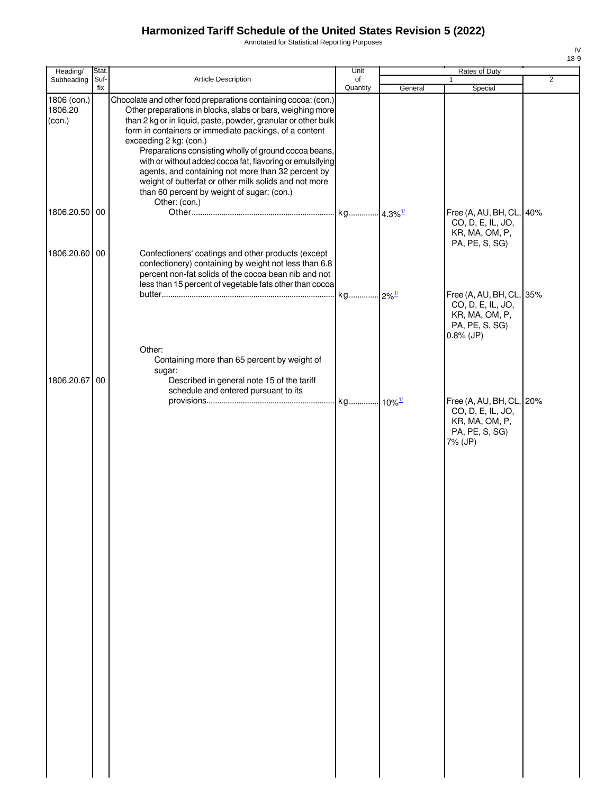Annotated for Statistical Reporting Purposes

| Heading/                         | Stat. |                                                                                                                                                                                                                                                                                                                                                                                                                                                                                                                                                                                       | Unit     |         | Rates of Duty                                                                                     |                |
|----------------------------------|-------|---------------------------------------------------------------------------------------------------------------------------------------------------------------------------------------------------------------------------------------------------------------------------------------------------------------------------------------------------------------------------------------------------------------------------------------------------------------------------------------------------------------------------------------------------------------------------------------|----------|---------|---------------------------------------------------------------------------------------------------|----------------|
| Subheading                       | Suf-  | <b>Article Description</b>                                                                                                                                                                                                                                                                                                                                                                                                                                                                                                                                                            | of       |         |                                                                                                   | $\overline{2}$ |
| 1806 (con.)<br>1806.20<br>(con.) | fix   | Chocolate and other food preparations containing cocoa: (con.)<br>Other preparations in blocks, slabs or bars, weighing more<br>than 2 kg or in liquid, paste, powder, granular or other bulk<br>form in containers or immediate packings, of a content<br>exceeding 2 kg: (con.)<br>Preparations consisting wholly of ground cocoa beans,<br>with or without added cocoa fat, flavoring or emulsifying<br>agents, and containing not more than 32 percent by<br>weight of butterfat or other milk solids and not more<br>than 60 percent by weight of sugar: (con.)<br>Other: (con.) | Quantity | General | Special                                                                                           |                |
| 1806.20.50 00                    |       |                                                                                                                                                                                                                                                                                                                                                                                                                                                                                                                                                                                       |          |         | Free (A, AU, BH, CL, 40%<br>CO, D, E, IL, JO,<br>KR, MA, OM, P,                                   |                |
| 1806.20.60 00                    |       | Confectioners' coatings and other products (except<br>confectionery) containing by weight not less than 6.8<br>percent non-fat solids of the cocoa bean nib and not<br>less than 15 percent of vegetable fats other than cocoa                                                                                                                                                                                                                                                                                                                                                        |          |         | PA, PE, S, SG)                                                                                    |                |
|                                  |       |                                                                                                                                                                                                                                                                                                                                                                                                                                                                                                                                                                                       |          |         | Free (A, AU, BH, CL, 35%<br>CO, D, E, IL, JO,<br>KR, MA, OM, P,<br>PA, PE, S, SG)<br>$0.8\%$ (JP) |                |
| 1806.20.67                       | 00    | Other:<br>Containing more than 65 percent by weight of<br>sugar:<br>Described in general note 15 of the tariff<br>schedule and entered pursuant to its                                                                                                                                                                                                                                                                                                                                                                                                                                |          |         |                                                                                                   |                |
|                                  |       |                                                                                                                                                                                                                                                                                                                                                                                                                                                                                                                                                                                       |          |         | Free (A, AU, BH, CL, 20%<br>CO, D, E, IL, JO,<br>KR, MA, OM, P,<br>PA, PE, S, SG)<br>7% (JP)      |                |
|                                  |       |                                                                                                                                                                                                                                                                                                                                                                                                                                                                                                                                                                                       |          |         |                                                                                                   |                |
|                                  |       |                                                                                                                                                                                                                                                                                                                                                                                                                                                                                                                                                                                       |          |         |                                                                                                   |                |
|                                  |       |                                                                                                                                                                                                                                                                                                                                                                                                                                                                                                                                                                                       |          |         |                                                                                                   |                |
|                                  |       |                                                                                                                                                                                                                                                                                                                                                                                                                                                                                                                                                                                       |          |         |                                                                                                   |                |
|                                  |       |                                                                                                                                                                                                                                                                                                                                                                                                                                                                                                                                                                                       |          |         |                                                                                                   |                |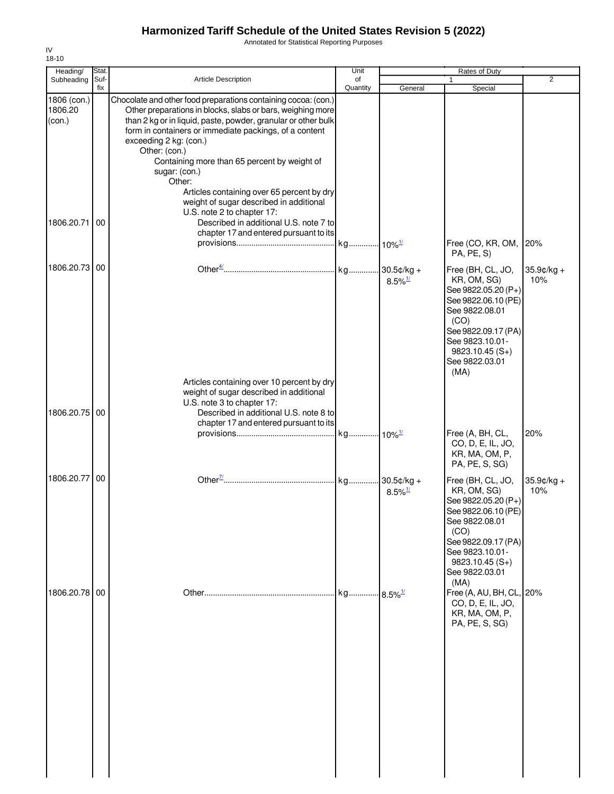Annotated for Statistical Reporting Purposes

| Heading/                         | Stat.<br>Suf- |                                                                                                                                                                                                                                                                                                                                                                                                                                                                        | Unit           |                        | Rates of Duty                                                                                                                                                                                    | $\overline{2}$       |
|----------------------------------|---------------|------------------------------------------------------------------------------------------------------------------------------------------------------------------------------------------------------------------------------------------------------------------------------------------------------------------------------------------------------------------------------------------------------------------------------------------------------------------------|----------------|------------------------|--------------------------------------------------------------------------------------------------------------------------------------------------------------------------------------------------|----------------------|
| Subheading                       | fix           | <b>Article Description</b>                                                                                                                                                                                                                                                                                                                                                                                                                                             | of<br>Quantity | General                | Special                                                                                                                                                                                          |                      |
| 1806 (con.)<br>1806.20<br>(con.) |               | Chocolate and other food preparations containing cocoa: (con.)<br>Other preparations in blocks, slabs or bars, weighing more<br>than 2 kg or in liquid, paste, powder, granular or other bulk<br>form in containers or immediate packings, of a content<br>exceeding 2 kg: (con.)<br>Other: (con.)<br>Containing more than 65 percent by weight of<br>sugar: (con.)<br>Other:<br>Articles containing over 65 percent by dry<br>weight of sugar described in additional |                |                        |                                                                                                                                                                                                  |                      |
| 1806.20.71                       | 00            | U.S. note 2 to chapter 17:<br>Described in additional U.S. note 7 to<br>chapter 17 and entered pursuant to its                                                                                                                                                                                                                                                                                                                                                         |                |                        | Free (CO, KR, OM, 20%<br>PA, PE, S)                                                                                                                                                              |                      |
| 1806.20.73 00                    |               |                                                                                                                                                                                                                                                                                                                                                                                                                                                                        |                | $8.5\%$ <sup>1/</sup>  | Free (BH, CL, JO,<br>KR, OM, SG)<br>See 9822.05.20 (P+)<br>See 9822.06.10 (PE)<br>See 9822.08.01<br>(CO)<br>See 9822.09.17 (PA)<br>See 9823.10.01-<br>$9823.10.45(S+)$<br>See 9822.03.01<br>(MA) | $35.9$ ¢/kg +<br>10% |
| 1806.20.75 00                    |               | Articles containing over 10 percent by dry<br>weight of sugar described in additional<br>U.S. note 3 to chapter 17:<br>Described in additional U.S. note 8 to<br>chapter 17 and entered pursuant to its                                                                                                                                                                                                                                                                |                |                        | Free (A, BH, CL,<br>CO, D, E, IL, JO,                                                                                                                                                            | 20%                  |
|                                  |               |                                                                                                                                                                                                                                                                                                                                                                                                                                                                        |                |                        | KR, MA, OM, P,<br>PA, PE, S, SG)                                                                                                                                                                 |                      |
| 1806.20.77 00                    |               |                                                                                                                                                                                                                                                                                                                                                                                                                                                                        |                | $8.5\%$ <sup>1/</sup>  | Free (BH, CL, JO,<br>KR, OM, SG)<br>See 9822.05.20 (P+)<br>See 9822.06.10 (PE)<br>See 9822.08.01<br>(CO)<br>See 9822.09.17 (PA)<br>See 9823.10.01-<br>$9823.10.45(S+)$<br>See 9822.03.01<br>(MA) | $35.9$ ¢/kg +<br>10% |
| 1806.20.78 00                    |               |                                                                                                                                                                                                                                                                                                                                                                                                                                                                        | kg             | $.8.5\%$ <sup>1/</sup> | Free (A, AU, BH, CL, 20%<br>CO, D, E, IL, JO,<br>KR, MA, OM, P,<br>PA, PE, S, SG)                                                                                                                |                      |

IV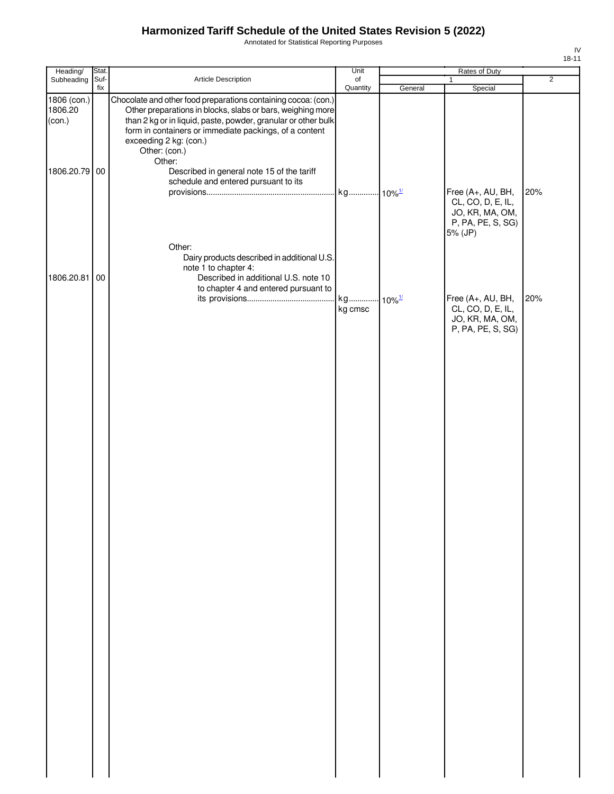Annotated for Statistical Reporting Purposes

| Heading/                         | Stat.       |                                                                                                                                                                                                                                                                                                    | Unit                            |         | Rates of Duty                                                                  |                |
|----------------------------------|-------------|----------------------------------------------------------------------------------------------------------------------------------------------------------------------------------------------------------------------------------------------------------------------------------------------------|---------------------------------|---------|--------------------------------------------------------------------------------|----------------|
| Subheading                       | Suf-<br>fix | Article Description                                                                                                                                                                                                                                                                                | of<br>Quantity                  | General | $\mathbf{1}$<br>Special                                                        | $\overline{2}$ |
| 1806 (con.)<br>1806.20<br>(con.) |             | Chocolate and other food preparations containing cocoa: (con.)<br>Other preparations in blocks, slabs or bars, weighing more<br>than 2 kg or in liquid, paste, powder, granular or other bulk<br>form in containers or immediate packings, of a content<br>exceeding 2 kg: (con.)<br>Other: (con.) |                                 |         |                                                                                |                |
| 1806.20.79                       | 00          | Other:<br>Described in general note 15 of the tariff<br>schedule and entered pursuant to its                                                                                                                                                                                                       |                                 |         | Free (A+, AU, BH,                                                              | 20%            |
| 1806.20.81                       | 00          | Other:<br>Dairy products described in additional U.S.<br>note 1 to chapter 4:<br>Described in additional U.S. note 10                                                                                                                                                                              |                                 |         | CL, CO, D, E, IL,<br>JO, KR, MA, OM,<br>P, PA, PE, S, SG)<br>5% (JP)           |                |
|                                  |             | to chapter 4 and entered pursuant to                                                                                                                                                                                                                                                               | kg 10% <sup>1/</sup><br>kg cmsc |         | Free (A+, AU, BH,<br>CL, CO, D, E, IL,<br>JO, KR, MA, OM,<br>P, PA, PE, S, SG) | 20%            |
|                                  |             |                                                                                                                                                                                                                                                                                                    |                                 |         |                                                                                |                |
|                                  |             |                                                                                                                                                                                                                                                                                                    |                                 |         |                                                                                |                |
|                                  |             |                                                                                                                                                                                                                                                                                                    |                                 |         |                                                                                |                |
|                                  |             |                                                                                                                                                                                                                                                                                                    |                                 |         |                                                                                |                |
|                                  |             |                                                                                                                                                                                                                                                                                                    |                                 |         |                                                                                |                |
|                                  |             |                                                                                                                                                                                                                                                                                                    |                                 |         |                                                                                |                |
|                                  |             |                                                                                                                                                                                                                                                                                                    |                                 |         |                                                                                |                |
|                                  |             |                                                                                                                                                                                                                                                                                                    |                                 |         |                                                                                |                |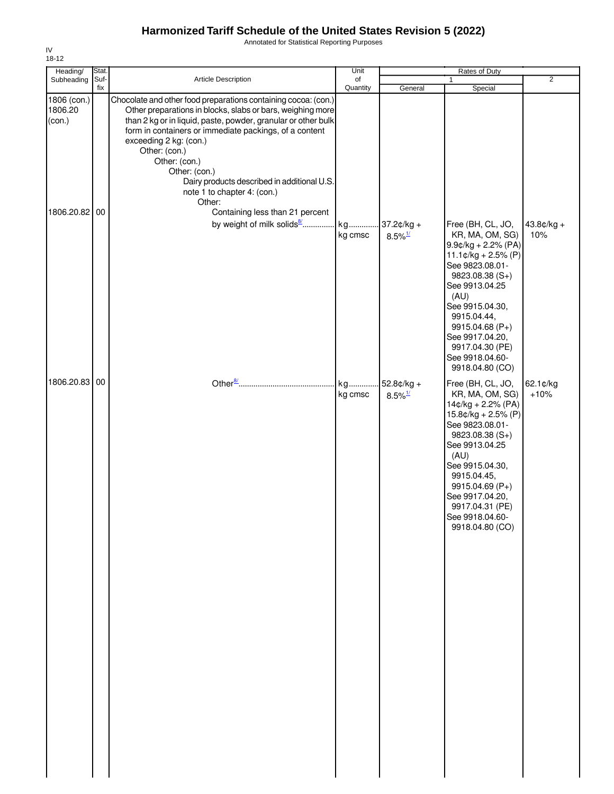Annotated for Statistical Reporting Purposes

| Heading/                         | Stat.       |                                                                                                                                                                                                                                                                                                                                                                                                                              | Unit           |                                        | Rates of Duty                                                                                                                                                                                                                                                                            |                     |
|----------------------------------|-------------|------------------------------------------------------------------------------------------------------------------------------------------------------------------------------------------------------------------------------------------------------------------------------------------------------------------------------------------------------------------------------------------------------------------------------|----------------|----------------------------------------|------------------------------------------------------------------------------------------------------------------------------------------------------------------------------------------------------------------------------------------------------------------------------------------|---------------------|
| Subheading                       | Suf-<br>fix | <b>Article Description</b>                                                                                                                                                                                                                                                                                                                                                                                                   | of<br>Quantity | General                                | Special                                                                                                                                                                                                                                                                                  | $\overline{2}$      |
| 1806 (con.)<br>1806.20<br>(con.) |             | Chocolate and other food preparations containing cocoa: (con.)<br>Other preparations in blocks, slabs or bars, weighing more<br>than 2 kg or in liquid, paste, powder, granular or other bulk<br>form in containers or immediate packings, of a content<br>exceeding 2 kg: (con.)<br>Other: (con.)<br>Other: (con.)<br>Other: (con.)<br>Dairy products described in additional U.S.<br>note 1 to chapter 4: (con.)<br>Other: |                |                                        |                                                                                                                                                                                                                                                                                          |                     |
| 1806.20.82 00                    |             | Containing less than 21 percent<br>by weight of milk solids <sup>8</sup>                                                                                                                                                                                                                                                                                                                                                     | kg<br>kg cmsc  | $37.2¢/kg +$<br>$8.5\%$ <sup>1/</sup>  | Free (BH, CL, JO,<br>KR, MA, OM, SG)<br>$9.9$ ¢/kg + 2.2% (PA)<br>$11.1¢/kg + 2.5% (P)$<br>See 9823.08.01-<br>9823.08.38 (S+)<br>See 9913.04.25<br>(AU)<br>See 9915.04.30,<br>9915.04.44,<br>9915.04.68 (P+)<br>See 9917.04.20,<br>9917.04.30 (PE)<br>See 9918.04.60-<br>9918.04.80 (CO) | $43.8¢/kg +$<br>10% |
| 1806.20.83 00                    |             |                                                                                                                                                                                                                                                                                                                                                                                                                              | kg<br>kg cmsc  | $.52.8¢/kg +$<br>$8.5\%$ <sup>1/</sup> | Free (BH, CL, JO,<br>KR, MA, OM, SG)<br>$14¢/kg + 2.2% (PA)$<br>$15.8¢/kg + 2.5% (P)$<br>See 9823.08.01-<br>$9823.08.38(S+)$<br>See 9913.04.25<br>(AU)<br>See 9915.04.30,<br>9915.04.45,<br>9915.04.69 (P+)<br>See 9917.04.20,<br>9917.04.31 (PE)<br>See 9918.04.60-<br>9918.04.80 (CO)  | 62.1¢/kg<br>$+10%$  |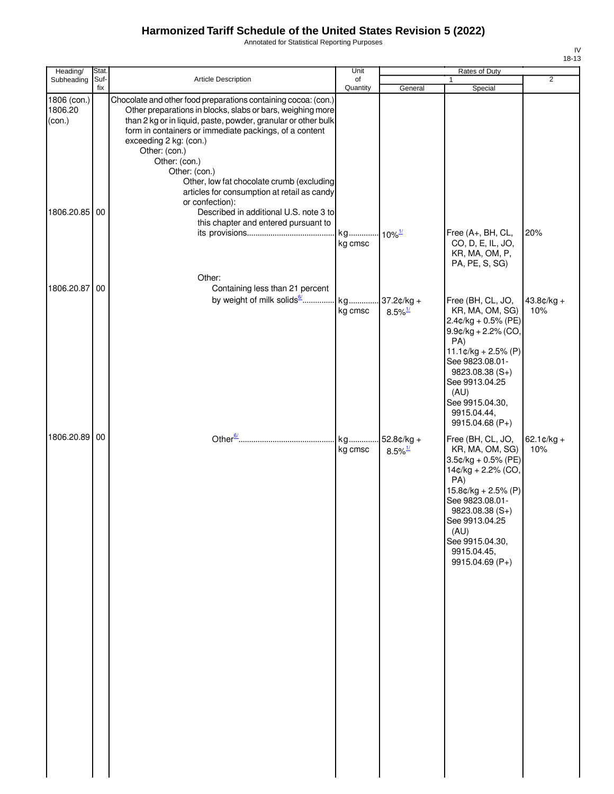Annotated for Statistical Reporting Purposes

| Heading/                      | Stat.       |                                                                                                                                                                                                                                                                                                                                                                                                                                  | Unit           |                                        | Rates of Duty                                                                                                                                                                                                            |                                |
|-------------------------------|-------------|----------------------------------------------------------------------------------------------------------------------------------------------------------------------------------------------------------------------------------------------------------------------------------------------------------------------------------------------------------------------------------------------------------------------------------|----------------|----------------------------------------|--------------------------------------------------------------------------------------------------------------------------------------------------------------------------------------------------------------------------|--------------------------------|
| Subheading                    | Suf-<br>fix | <b>Article Description</b>                                                                                                                                                                                                                                                                                                                                                                                                       | of<br>Quantity | General                                | $\mathbf{1}$<br>Special                                                                                                                                                                                                  | $\overline{2}$                 |
| 806 (con.)<br>806.20<br>con.) |             | Chocolate and other food preparations containing cocoa: (con.)<br>Other preparations in blocks, slabs or bars, weighing more<br>than 2 kg or in liquid, paste, powder, granular or other bulk<br>form in containers or immediate packings, of a content<br>exceeding 2 kg: (con.)<br>Other: (con.)<br>Other: (con.)<br>Other: (con.)<br>Other, low fat chocolate crumb (excluding<br>articles for consumption at retail as candy |                |                                        |                                                                                                                                                                                                                          |                                |
| 806.20.85 00                  |             | or confection):<br>Described in additional U.S. note 3 to<br>this chapter and entered pursuant to                                                                                                                                                                                                                                                                                                                                | kg<br>kg cmsc  | $10\%$ <sup>1/</sup>                   | Free (A+, BH, CL,<br>CO, D, E, IL, JO,<br>KR, MA, OM, P,<br>PA, PE, S, SG)                                                                                                                                               | 20%                            |
| 806.20.87                     | 00          | Other:<br>Containing less than 21 percent<br>by weight of milk solids6                                                                                                                                                                                                                                                                                                                                                           | kg<br>kg cmsc  | 37.2¢/kg +<br>$8.5\%$ <sup>1/</sup>    | Free (BH, CL, JO,<br>KR, MA, OM, SG)<br>$2.4$ ¢/kg + 0.5% (PE)<br>$9.9$ c/kg + 2.2% (CO,<br>PA)<br>$11.1¢/kg + 2.5% (P)$<br>See 9823.08.01-<br>$9823.08.38(S+)$<br>See 9913.04.25<br>(AU)<br>See 9915.04.30,             | $43.8¢/kg +$<br>10%            |
| 806.20.89                     | 00          |                                                                                                                                                                                                                                                                                                                                                                                                                                  | kg<br>kg cmsc  | $-52.8¢/kg +$<br>$8.5\%$ <sup>1/</sup> | 9915.04.44,<br>9915.04.68 (P+)<br>Free (BH, CL, JO,<br>KR, MA, OM, SG)<br>3.5¢/kg + 0.5% (PE)<br>14¢/kg + 2.2% (CO,<br>PA)<br>15.8¢/kg + 2.5% (P)<br>See 9823.08.01-<br>9823.08.38 (S+)<br>See 9913.04.25<br>$($ All $)$ | $62.1 \, \text{c/kg} +$<br>10% |

| 1806 (con.)<br>1806.20<br>(con.)<br>1806.20.85 00 |    | Chocolate and other food preparations containing cocoa: (con.)<br>Other preparations in blocks, slabs or bars, weighing more<br>than 2 kg or in liquid, paste, powder, granular or other bulk<br>form in containers or immediate packings, of a content<br>exceeding 2 kg: (con.)<br>Other: (con.)<br>Other: (con.)<br>Other: (con.)<br>Other, low fat chocolate crumb (excluding<br>articles for consumption at retail as candy<br>or confection):<br>Described in additional U.S. note 3 to |               |                                       |                                                                                                                                                                                                                                               |                                |
|---------------------------------------------------|----|-----------------------------------------------------------------------------------------------------------------------------------------------------------------------------------------------------------------------------------------------------------------------------------------------------------------------------------------------------------------------------------------------------------------------------------------------------------------------------------------------|---------------|---------------------------------------|-----------------------------------------------------------------------------------------------------------------------------------------------------------------------------------------------------------------------------------------------|--------------------------------|
|                                                   |    | this chapter and entered pursuant to<br>Other:                                                                                                                                                                                                                                                                                                                                                                                                                                                | kg<br>kg cmsc | $10\%$ <sup>1/</sup>                  | Free (A+, BH, CL,<br>CO, D, E, IL, JO,<br>KR, MA, OM, P,<br>PA, PE, S, SG)                                                                                                                                                                    | 20%                            |
| 1806.20.87                                        | 00 | Containing less than 21 percent<br>by weight of milk solids <sup>6/</sup> kg                                                                                                                                                                                                                                                                                                                                                                                                                  | kg cmsc       | 37.2¢/kg +<br>$8.5\%$ <sup>1/</sup>   | Free (BH, CL, JO,<br>KR, MA, OM, SG)<br>$2.4$ ¢/kg + 0.5% (PE)<br>$9.9¢/kg + 2.2%$ (CO,<br>PA)<br>$11.1¢/kg + 2.5% (P)$<br>See 9823.08.01-<br>$9823.08.38(S+)$<br>See 9913.04.25<br>(AU)<br>See 9915.04.30,<br>9915.04.44,<br>9915.04.68 (P+) | $43.8¢/kg +$<br>10%            |
| 1806.20.89 00                                     |    |                                                                                                                                                                                                                                                                                                                                                                                                                                                                                               | kg<br>kg cmsc | $52.8¢/kg +$<br>$8.5\%$ <sup>1/</sup> | Free (BH, CL, JO,<br>KR, MA, OM, SG)<br>$3.5$ ¢/kg + 0.5% (PE)<br>14¢/kg + 2.2% (CO,<br>PA)<br>$15.8¢/kg + 2.5% (P)$<br>See 9823.08.01-<br>9823.08.38 (S+)<br>See 9913.04.25<br>(AU)<br>See 9915.04.30,<br>9915.04.45,<br>9915.04.69 (P+)     | $62.1 \, \text{c/kg} +$<br>10% |

IV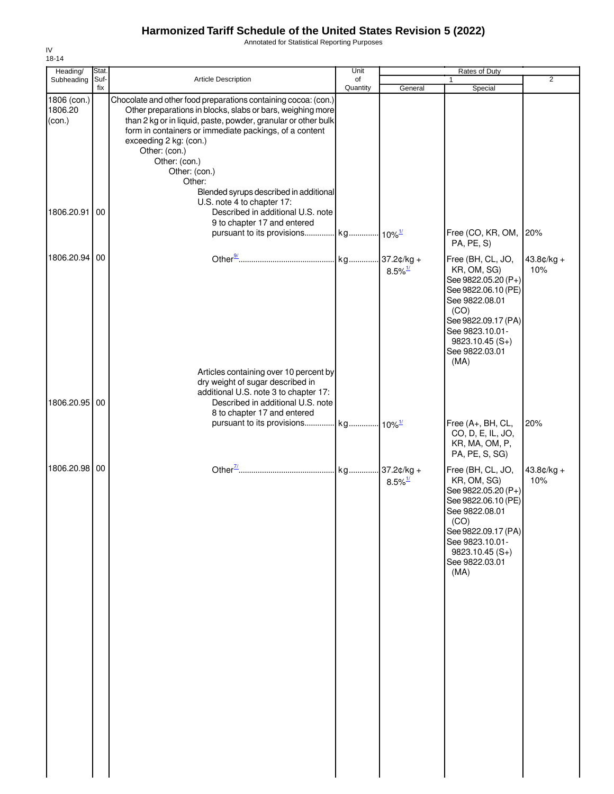Annotated for Statistical Reporting Purposes

| Heading/                                       | Stat.       |                                                                                                                                                                                                                                                                                                                                                                                                                                                             | Unit           |                       | Rates of Duty                                                                                                                                                                                    |                     |
|------------------------------------------------|-------------|-------------------------------------------------------------------------------------------------------------------------------------------------------------------------------------------------------------------------------------------------------------------------------------------------------------------------------------------------------------------------------------------------------------------------------------------------------------|----------------|-----------------------|--------------------------------------------------------------------------------------------------------------------------------------------------------------------------------------------------|---------------------|
| Subheading                                     | Suf-<br>fix | <b>Article Description</b>                                                                                                                                                                                                                                                                                                                                                                                                                                  | of<br>Quantity | General               | $\mathbf{1}$<br>Special                                                                                                                                                                          | 2                   |
| 1806 (con.)<br>1806.20<br>(con.)<br>1806.20.91 | 00          | Chocolate and other food preparations containing cocoa: (con.)<br>Other preparations in blocks, slabs or bars, weighing more<br>than 2 kg or in liquid, paste, powder, granular or other bulk<br>form in containers or immediate packings, of a content<br>exceeding 2 kg: (con.)<br>Other: (con.)<br>Other: (con.)<br>Other: (con.)<br>Other:<br>Blended syrups described in additional<br>U.S. note 4 to chapter 17:<br>Described in additional U.S. note |                |                       |                                                                                                                                                                                                  |                     |
|                                                |             | 9 to chapter 17 and entered<br>pursuant to its provisions kg 10% <sup>1/</sup>                                                                                                                                                                                                                                                                                                                                                                              |                |                       | Free (CO, KR, OM,<br>PA, PE, S)                                                                                                                                                                  | 20%                 |
| 1806.20.94                                     | 00          |                                                                                                                                                                                                                                                                                                                                                                                                                                                             |                | $8.5\%$ <sup>1/</sup> | Free (BH, CL, JO,<br>KR, OM, SG)<br>See 9822.05.20 (P+)<br>See 9822.06.10 (PE)<br>See 9822.08.01<br>(CO)<br>See 9822.09.17 (PA)<br>See 9823.10.01-<br>$9823.10.45(S+)$<br>See 9822.03.01<br>(MA) | $43.8¢/kg +$<br>10% |
| 1806.20.95 00                                  |             | Articles containing over 10 percent by<br>dry weight of sugar described in<br>additional U.S. note 3 to chapter 17:<br>Described in additional U.S. note<br>8 to chapter 17 and entered                                                                                                                                                                                                                                                                     |                |                       |                                                                                                                                                                                                  |                     |
|                                                |             | pursuant to its provisions kg 10% <sup>1/</sup>                                                                                                                                                                                                                                                                                                                                                                                                             |                |                       | Free (A+, BH, CL,<br>CO, D, E, IL, JO,<br>KR, MA, OM, P,<br>PA, PE, S, SG)                                                                                                                       | 20%                 |
| 1806.20.98 00                                  |             |                                                                                                                                                                                                                                                                                                                                                                                                                                                             |                | $8.5\%$ <sup>1/</sup> | Free (BH, CL, JO,<br>KR, OM, SG)<br>See 9822.05.20 (P+)<br>See 9822.06.10 (PE)<br>See 9822.08.01<br>(CO)<br>See 9822.09.17 (PA)<br>See 9823.10.01-<br>$9823.10.45(S+)$<br>See 9822.03.01<br>(MA) | $43.8¢/kg +$<br>10% |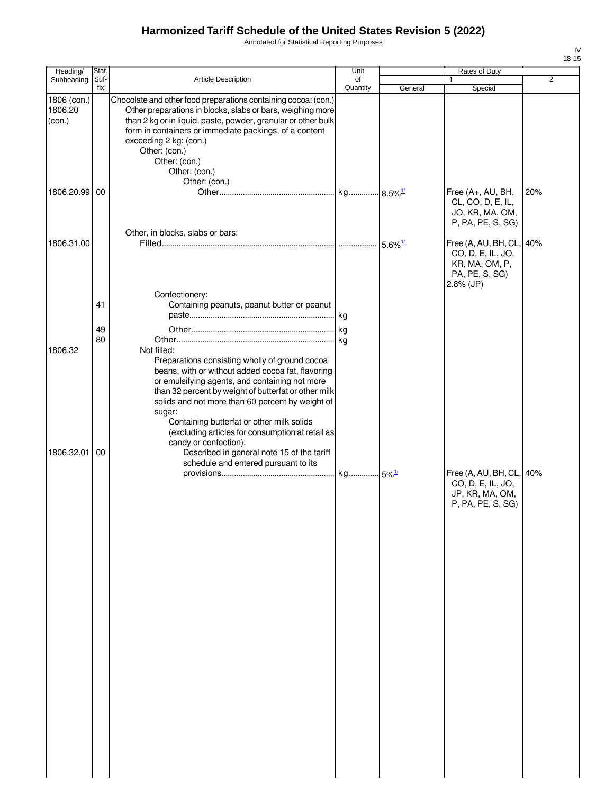Annotated for Statistical Reporting Purposes

| Heading/                         | Stat.       |                                                                                                                                                                                                                                                                                                                                                                                             | Unit           |                            | Rates of Duty                                                                                    |     |
|----------------------------------|-------------|---------------------------------------------------------------------------------------------------------------------------------------------------------------------------------------------------------------------------------------------------------------------------------------------------------------------------------------------------------------------------------------------|----------------|----------------------------|--------------------------------------------------------------------------------------------------|-----|
| Subheading                       | Suf-<br>fix | Article Description                                                                                                                                                                                                                                                                                                                                                                         | of<br>Quantity | General                    | $\mathbf{1}$<br>Special                                                                          | 2   |
| 1806 (con.)<br>1806.20<br>(con.) |             | Chocolate and other food preparations containing cocoa: (con.)<br>Other preparations in blocks, slabs or bars, weighing more<br>than 2 kg or in liquid, paste, powder, granular or other bulk<br>form in containers or immediate packings, of a content<br>exceeding 2 kg: (con.)<br>Other: (con.)<br>Other: (con.)<br>Other: (con.)                                                        |                |                            |                                                                                                  |     |
| 1806.20.99                       | 00          | Other: (con.)                                                                                                                                                                                                                                                                                                                                                                               |                |                            | Free (A+, AU, BH,<br>CL, CO, D, E, IL,<br>JO, KR, MA, OM,<br>P, PA, PE, S, SG)                   | 20% |
| 1806.31.00                       |             | Other, in blocks, slabs or bars:                                                                                                                                                                                                                                                                                                                                                            |                | $\cdot$ 5.6% $\frac{1}{2}$ | Free (A, AU, BH, CL, 40%<br>CO, D, E, IL, JO,<br>KR, MA, OM, P,<br>PA, PE, S, SG)<br>$2.8%$ (JP) |     |
|                                  | 41          | Confectionery:<br>Containing peanuts, peanut butter or peanut                                                                                                                                                                                                                                                                                                                               |                |                            |                                                                                                  |     |
| 1806.32                          | 49<br>80    | Not filled:<br>Preparations consisting wholly of ground cocoa<br>beans, with or without added cocoa fat, flavoring<br>or emulsifying agents, and containing not more<br>than 32 percent by weight of butterfat or other milk<br>solids and not more than 60 percent by weight of<br>sugar:<br>Containing butterfat or other milk solids<br>(excluding articles for consumption at retail as |                |                            |                                                                                                  |     |
| 1806.32.01                       | 00          | candy or confection):<br>Described in general note 15 of the tariff<br>schedule and entered pursuant to its                                                                                                                                                                                                                                                                                 |                |                            | Free (A, AU, BH, CL, 40%<br>CO, D, E, IL, JO,<br>JP, KR, MA, OM,<br>P, PA, PE, S, SG)            |     |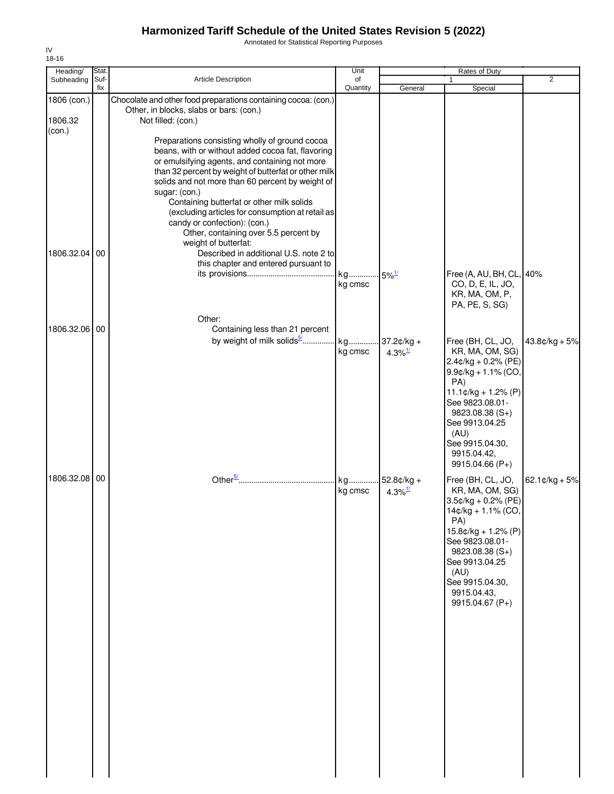Annotated for Statistical Reporting Purposes

| 18-16<br>Heading/ | Stat.       |                                                                                                        | Unit           |                     | Rates of Duty                                  |                 |
|-------------------|-------------|--------------------------------------------------------------------------------------------------------|----------------|---------------------|------------------------------------------------|-----------------|
| Subheading        | Suf-<br>fix | Article Description                                                                                    | of<br>Quantity |                     |                                                | $\overline{2}$  |
| 1806 (con.)       |             | Chocolate and other food preparations containing cocoa: (con.)                                         |                | General             | Special                                        |                 |
|                   |             | Other, in blocks, slabs or bars: (con.)                                                                |                |                     |                                                |                 |
| 1806.32<br>(con.) |             | Not filled: (con.)                                                                                     |                |                     |                                                |                 |
|                   |             | Preparations consisting wholly of ground cocoa                                                         |                |                     |                                                |                 |
|                   |             | beans, with or without added cocoa fat, flavoring                                                      |                |                     |                                                |                 |
|                   |             | or emulsifying agents, and containing not more<br>than 32 percent by weight of butterfat or other milk |                |                     |                                                |                 |
|                   |             | solids and not more than 60 percent by weight of                                                       |                |                     |                                                |                 |
|                   |             | sugar: (con.)<br>Containing butterfat or other milk solids                                             |                |                     |                                                |                 |
|                   |             | (excluding articles for consumption at retail as                                                       |                |                     |                                                |                 |
|                   |             | candy or confection): (con.)<br>Other, containing over 5.5 percent by                                  |                |                     |                                                |                 |
|                   |             | weight of butterfat:                                                                                   |                |                     |                                                |                 |
| 1806.32.04        | 00          | Described in additional U.S. note 2 to<br>this chapter and entered pursuant to                         |                |                     |                                                |                 |
|                   |             |                                                                                                        | kg             | $5\%$ <sup>1/</sup> | Free (A, AU, BH, CL, 40%                       |                 |
|                   |             |                                                                                                        | kg cmsc        |                     | CO, D, E, IL, JO,                              |                 |
|                   |             |                                                                                                        |                |                     | KR, MA, OM, P,<br>PA, PE, S, SG)               |                 |
|                   |             | Other:                                                                                                 |                |                     |                                                |                 |
| 1806.32.06 00     |             | Containing less than 21 percent                                                                        |                |                     |                                                |                 |
|                   |             | by weight of milk solids <sup>5/</sup>                                                                 | kg<br>kg cmsc  | $.37.2¢/kg +$       | Free (BH, CL, JO,<br>KR, MA, OM, SG)           | $43.8¢/kg + 5%$ |
|                   |             |                                                                                                        |                | 4.3% $\frac{1}{2}$  | $2.4$ ¢/kg + 0.2% (PE)                         |                 |
|                   |             |                                                                                                        |                |                     | $9.9$ ¢/kg + 1.1% (CO,<br>PA)                  |                 |
|                   |             |                                                                                                        |                |                     | $11.1¢/kg + 1.2% (P)$                          |                 |
|                   |             |                                                                                                        |                |                     | See 9823.08.01-                                |                 |
|                   |             |                                                                                                        |                |                     | $9823.08.38(S+)$<br>See 9913.04.25             |                 |
|                   |             |                                                                                                        |                |                     | (AU)                                           |                 |
|                   |             |                                                                                                        |                |                     | See 9915.04.30,<br>9915.04.42,                 |                 |
|                   |             |                                                                                                        |                |                     | 9915.04.66 (P+)                                |                 |
| 1806.32.08        | 00          | Other $\frac{5}{2}$                                                                                    | kg             | $52.8¢/kg +$        | Free (BH, CL, JO,                              | $62.1¢/kg + 5%$ |
|                   |             |                                                                                                        | kg cmsc        | 4.3% $\frac{1}{2}$  | KR, MA, OM, SG)                                |                 |
|                   |             |                                                                                                        |                |                     | $3.5$ ¢/kg + 0.2% (PE)<br>$14¢/kg + 1.1% (CO,$ |                 |
|                   |             |                                                                                                        |                |                     | PA)                                            |                 |
|                   |             |                                                                                                        |                |                     | $15.8¢/kg + 1.2% (P)$<br>See 9823.08.01-       |                 |
|                   |             |                                                                                                        |                |                     | $9823.08.38(S+)$                               |                 |
|                   |             |                                                                                                        |                |                     | See 9913.04.25<br>(AU)                         |                 |
|                   |             |                                                                                                        |                |                     | See 9915.04.30,                                |                 |
|                   |             |                                                                                                        |                |                     | 9915.04.43,<br>9915.04.67 (P+)                 |                 |
|                   |             |                                                                                                        |                |                     |                                                |                 |
|                   |             |                                                                                                        |                |                     |                                                |                 |
|                   |             |                                                                                                        |                |                     |                                                |                 |
|                   |             |                                                                                                        |                |                     |                                                |                 |
|                   |             |                                                                                                        |                |                     |                                                |                 |
|                   |             |                                                                                                        |                |                     |                                                |                 |
|                   |             |                                                                                                        |                |                     |                                                |                 |
|                   |             |                                                                                                        |                |                     |                                                |                 |
|                   |             |                                                                                                        |                |                     |                                                |                 |
|                   |             |                                                                                                        |                |                     |                                                |                 |
|                   |             |                                                                                                        |                |                     |                                                |                 |
|                   |             |                                                                                                        |                |                     |                                                |                 |

IV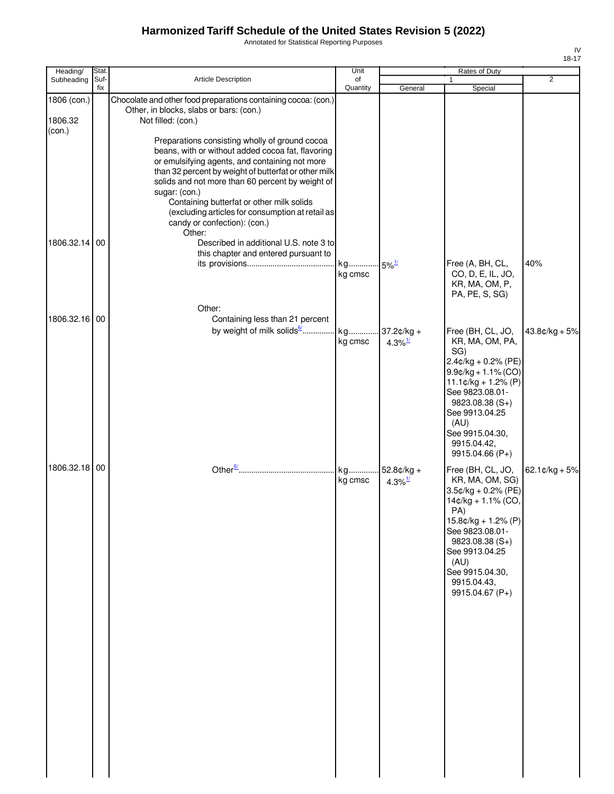Annotated for Statistical Reporting Purposes

| Heading/               | Stat.       |                                                                                                                                                                                                                                                                                                                                                                                                                               | Unit                           | Rates of Duty               |                                                                                                                                                                                                                                               |                  |
|------------------------|-------------|-------------------------------------------------------------------------------------------------------------------------------------------------------------------------------------------------------------------------------------------------------------------------------------------------------------------------------------------------------------------------------------------------------------------------------|--------------------------------|-----------------------------|-----------------------------------------------------------------------------------------------------------------------------------------------------------------------------------------------------------------------------------------------|------------------|
| Subheading             | Suf-<br>fix | Article Description                                                                                                                                                                                                                                                                                                                                                                                                           | of<br>Quantity                 | General                     | $\mathbf{1}$<br>Special                                                                                                                                                                                                                       | 2                |
| 1806 (con.)<br>1806.32 |             | Chocolate and other food preparations containing cocoa: (con.)<br>Other, in blocks, slabs or bars: (con.)<br>Not filled: (con.)                                                                                                                                                                                                                                                                                               |                                |                             |                                                                                                                                                                                                                                               |                  |
| (con.)                 |             | Preparations consisting wholly of ground cocoa<br>beans, with or without added cocoa fat, flavoring<br>or emulsifying agents, and containing not more<br>than 32 percent by weight of butterfat or other milk<br>solids and not more than 60 percent by weight of<br>sugar: (con.)<br>Containing butterfat or other milk solids<br>(excluding articles for consumption at retail as<br>candy or confection): (con.)<br>Other: |                                |                             |                                                                                                                                                                                                                                               |                  |
| 1806.32.14 00          |             | Described in additional U.S. note 3 to<br>this chapter and entered pursuant to                                                                                                                                                                                                                                                                                                                                                | kg 5% <sup>1/</sup><br>kg cmsc |                             | Free (A, BH, CL,<br>CO, D, E, IL, JO,<br>KR, MA, OM, P,<br>PA, PE, S, SG)                                                                                                                                                                     | 40%              |
| 1806.32.16 00          |             | Other:<br>Containing less than 21 percent                                                                                                                                                                                                                                                                                                                                                                                     |                                |                             |                                                                                                                                                                                                                                               |                  |
|                        |             |                                                                                                                                                                                                                                                                                                                                                                                                                               | kg cmsc                        | 4.3% $\frac{1}{2}$          | Free (BH, CL, JO,<br>KR, MA, OM, PA,<br>SG)<br>$2.4$ ¢/kg + 0.2% (PE)<br>$9.9¢/kg + 1.1% (CO)$<br>$11.1¢/kg + 1.2% (P)$<br>See 9823.08.01-<br>$9823.08.38(S+)$<br>See 9913.04.25<br>(AU)<br>See 9915.04.30,<br>9915.04.42,<br>9915.04.66 (P+) | $43.8¢/kg + 5%$  |
| 1806.32.18 00          |             |                                                                                                                                                                                                                                                                                                                                                                                                                               | kg<br>kg cmsc                  | 52.8¢/kg +<br>4.3% $^{1/2}$ | Free (BH, CL, JO,<br>KR, MA, OM, SG)<br>3.5¢/kg + 0.2% (PE)<br>14¢/kg + 1.1% (CO,<br>PA)<br>$15.8¢/kg + 1.2% (P)$<br>See 9823.08.01-<br>$9823.08.38(S+)$<br>See 9913.04.25<br>(AU)<br>See 9915.04.30,<br>9915.04.43,<br>9915.04.67 (P+)       | $62.1$ ¢/kg + 5% |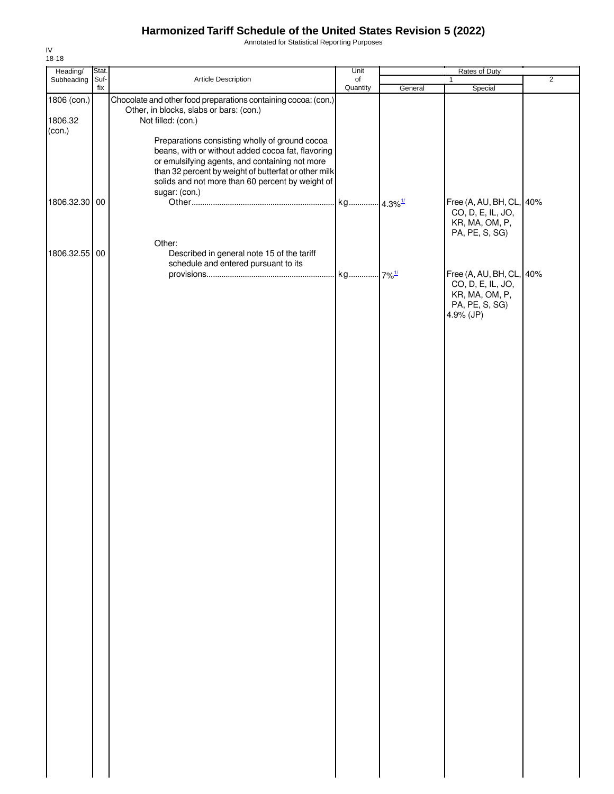Annotated for Statistical Reporting Purposes

| Heading/                         | Stat. |                                                                                                                                                                                                                                        | Unit           |         | Rates of Duty                                                   |                |
|----------------------------------|-------|----------------------------------------------------------------------------------------------------------------------------------------------------------------------------------------------------------------------------------------|----------------|---------|-----------------------------------------------------------------|----------------|
| Subheading Suf-                  | fix   | Article Description                                                                                                                                                                                                                    | of<br>Quantity | General | 1<br>Special                                                    | $\overline{2}$ |
| 1806 (con.)<br>1806.32<br>(con.) |       | Chocolate and other food preparations containing cocoa: (con.)<br>Other, in blocks, slabs or bars: (con.)<br>Not filled: (con.)<br>Preparations consisting wholly of ground cocoa<br>beans, with or without added cocoa fat, flavoring |                |         |                                                                 |                |
| 1806.32.30 00                    |       | or emulsifying agents, and containing not more<br>than 32 percent by weight of butterfat or other milk<br>solids and not more than 60 percent by weight of<br>sugar: (con.)                                                            |                |         | Free (A, AU, BH, CL, 40%<br>CO, D, E, IL, JO,<br>KR, MA, OM, P, |                |
| 1806.32.55 00                    |       | Other:<br>Described in general note 15 of the tariff<br>schedule and entered pursuant to its                                                                                                                                           |                |         | PA, PE, S, SG)<br>Free (A, AU, BH, CL, 40%<br>CO, D, E, IL, JO, |                |
|                                  |       |                                                                                                                                                                                                                                        |                |         | KR, MA, OM, P,<br>PA, PE, S, SG)<br>4.9% (JP)                   |                |
|                                  |       |                                                                                                                                                                                                                                        |                |         |                                                                 |                |
|                                  |       |                                                                                                                                                                                                                                        |                |         |                                                                 |                |
|                                  |       |                                                                                                                                                                                                                                        |                |         |                                                                 |                |
|                                  |       |                                                                                                                                                                                                                                        |                |         |                                                                 |                |
|                                  |       |                                                                                                                                                                                                                                        |                |         |                                                                 |                |
|                                  |       |                                                                                                                                                                                                                                        |                |         |                                                                 |                |
|                                  |       |                                                                                                                                                                                                                                        |                |         |                                                                 |                |
|                                  |       |                                                                                                                                                                                                                                        |                |         |                                                                 |                |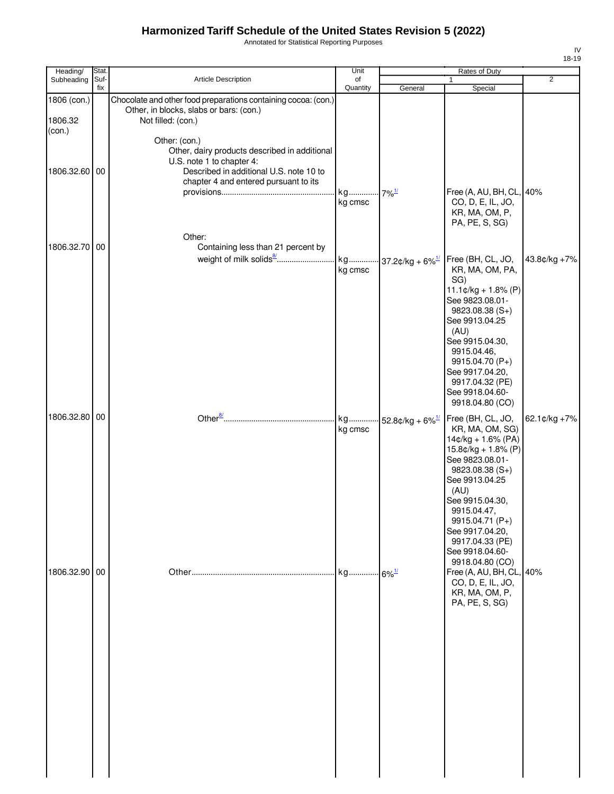Annotated for Statistical Reporting Purposes

| Heading/      | Stat.       |                                                                | Unit                |                                     | Rates of Duty                               |                |
|---------------|-------------|----------------------------------------------------------------|---------------------|-------------------------------------|---------------------------------------------|----------------|
| Subheading    | Suf-<br>fix | Article Description                                            | of<br>Quantity      | General                             |                                             | $\overline{2}$ |
| 1806 (con.)   |             | Chocolate and other food preparations containing cocoa: (con.) |                     |                                     | Special                                     |                |
|               |             | Other, in blocks, slabs or bars: (con.)                        |                     |                                     |                                             |                |
| 1806.32       |             | Not filled: (con.)                                             |                     |                                     |                                             |                |
| (con.)        |             | Other: (con.)                                                  |                     |                                     |                                             |                |
|               |             | Other, dairy products described in additional                  |                     |                                     |                                             |                |
|               |             | U.S. note 1 to chapter 4:                                      |                     |                                     |                                             |                |
| 1806.32.60    | 00          | Described in additional U.S. note 10 to                        |                     |                                     |                                             |                |
|               |             | chapter 4 and entered pursuant to its                          | kg                  |                                     | Free (A, AU, BH, CL, 40%                    |                |
|               |             |                                                                | kg cmsc             | $-7\%$ <sup>1/</sup>                | CO, D, E, IL, JO,                           |                |
|               |             |                                                                |                     |                                     | KR, MA, OM, P,                              |                |
|               |             |                                                                |                     |                                     | PA, PE, S, SG)                              |                |
|               |             | Other:                                                         |                     |                                     |                                             |                |
| 1806.32.70 00 |             | Containing less than 21 percent by                             |                     |                                     |                                             |                |
|               |             |                                                                | kg<br>kg cmsc       | $-37.2$ ¢/kg + 6% $\frac{1}{2}$     | Free (BH, CL, JO,<br>KR, MA, OM, PA,        | 43.8¢/kg +7%   |
|               |             |                                                                |                     |                                     | SG)                                         |                |
|               |             |                                                                |                     |                                     | $11.1¢/kg + 1.8% (P)$                       |                |
|               |             |                                                                |                     |                                     | See 9823.08.01-                             |                |
|               |             |                                                                |                     |                                     | 9823.08.38 (S+)<br>See 9913.04.25           |                |
|               |             |                                                                |                     |                                     | (AU)                                        |                |
|               |             |                                                                |                     |                                     | See 9915.04.30,                             |                |
|               |             |                                                                |                     |                                     | 9915.04.46,<br>9915.04.70 (P+)              |                |
|               |             |                                                                |                     |                                     | See 9917.04.20,                             |                |
|               |             |                                                                |                     |                                     | 9917.04.32 (PE)                             |                |
|               |             |                                                                |                     |                                     | See 9918.04.60-                             |                |
|               |             |                                                                |                     |                                     | 9918.04.80 (CO)                             |                |
| 1806.32.80 00 |             |                                                                | kg<br>kg cmsc       | $\cdot$ 52.8¢/kg + 6% $\frac{1}{2}$ | Free (BH, CL, JO,<br>KR, MA, OM, SG)        | 62.1¢/kg +7%   |
|               |             |                                                                |                     |                                     | $14¢/kg + 1.6% (PA)$                        |                |
|               |             |                                                                |                     |                                     | $15.8¢/kg + 1.8% (P)$                       |                |
|               |             |                                                                |                     |                                     | See 9823.08.01-                             |                |
|               |             |                                                                |                     |                                     | $9823.08.38(S+)$<br>See 9913.04.25          |                |
|               |             |                                                                |                     |                                     | (AU)                                        |                |
|               |             |                                                                |                     |                                     | See 9915.04.30,                             |                |
|               |             |                                                                |                     |                                     | 9915.04.47,<br>9915.04.71 (P+)              |                |
|               |             |                                                                |                     |                                     | See 9917.04.20,                             |                |
|               |             |                                                                |                     |                                     | 9917.04.33 (PE)                             |                |
|               |             |                                                                |                     |                                     | See 9918.04.60-                             |                |
| 1806.32.90 00 |             |                                                                | kg 6% <sup>1/</sup> |                                     | 9918.04.80 (CO)<br>Free (A, AU, BH, CL, 40% |                |
|               |             |                                                                |                     |                                     | CO, D, E, IL, JO,                           |                |
|               |             |                                                                |                     |                                     | KR, MA, OM, P,                              |                |
|               |             |                                                                |                     |                                     | PA, PE, S, SG)                              |                |
|               |             |                                                                |                     |                                     |                                             |                |
|               |             |                                                                |                     |                                     |                                             |                |
|               |             |                                                                |                     |                                     |                                             |                |
|               |             |                                                                |                     |                                     |                                             |                |
|               |             |                                                                |                     |                                     |                                             |                |
|               |             |                                                                |                     |                                     |                                             |                |
|               |             |                                                                |                     |                                     |                                             |                |
|               |             |                                                                |                     |                                     |                                             |                |
|               |             |                                                                |                     |                                     |                                             |                |
|               |             |                                                                |                     |                                     |                                             |                |
|               |             |                                                                |                     |                                     |                                             |                |
|               |             |                                                                |                     |                                     |                                             |                |
|               |             |                                                                |                     |                                     |                                             |                |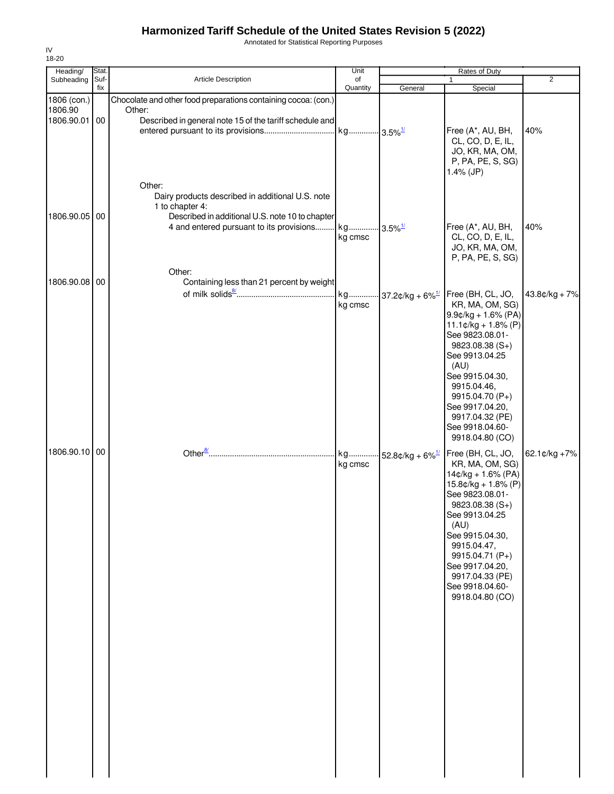Annotated for Statistical Reporting Purposes

| Heading/              | Stat. |                                                                                                                                                                                        | Unit                  |                                     | Rates of Duty                                                                                                                                                                                                                                                                                             |                 |
|-----------------------|-------|----------------------------------------------------------------------------------------------------------------------------------------------------------------------------------------|-----------------------|-------------------------------------|-----------------------------------------------------------------------------------------------------------------------------------------------------------------------------------------------------------------------------------------------------------------------------------------------------------|-----------------|
| Subheading            | Suf-  | Article Description                                                                                                                                                                    | of                    |                                     | $\mathbf{1}$                                                                                                                                                                                                                                                                                              | $\overline{2}$  |
| 1806 (con.)           | fix   | Chocolate and other food preparations containing cocoa: (con.)                                                                                                                         | Quantity              | General                             | Special                                                                                                                                                                                                                                                                                                   |                 |
| 1806.90<br>1806.90.01 | 00    | Other:<br>Described in general note 15 of the tariff schedule and                                                                                                                      | kg 3.5% <sup>1/</sup> |                                     | Free (A*, AU, BH,<br>CL, CO, D, E, IL,<br>JO, KR, MA, OM,<br>P, PA, PE, S, SG)<br>$1.4\%$ (JP)                                                                                                                                                                                                            | 40%             |
| 1806.90.05            | 00    | Other:<br>Dairy products described in additional U.S. note<br>1 to chapter 4:<br>Described in additional U.S. note 10 to chapter<br>4 and entered pursuant to its provisions<br>Other: | kg<br>kg cmsc         | $3.5\%$ <sup>1/</sup>               | Free (A*, AU, BH,<br>CL, CO, D, E, IL,<br>JO, KR, MA, OM,<br>P, PA, PE, S, SG)                                                                                                                                                                                                                            | 40%             |
| 1806.90.08            | 00    | Containing less than 21 percent by weight                                                                                                                                              |                       |                                     |                                                                                                                                                                                                                                                                                                           |                 |
|                       |       |                                                                                                                                                                                        | kg<br>kg cmsc         | $\cdot$ 37.2¢/kg + 6% $\frac{1}{2}$ | Free (BH, CL, JO,<br>KR, MA, OM, SG)<br>$9.9$ ¢/kg + 1.6% (PA)<br>$11.1 \text{¢}/\text{kg} + 1.8\%$ (P)<br>See 9823.08.01-<br>$9823.08.38(S+)$<br>See 9913.04.25<br>(AU)<br>See 9915.04.30,<br>9915.04.46,<br>9915.04.70 (P+)<br>See 9917.04.20,<br>9917.04.32 (PE)<br>See 9918.04.60-<br>9918.04.80 (CO) | $43.8¢/kg + 7%$ |
| 1806.90.10 00         |       |                                                                                                                                                                                        | kg<br>kg cmsc         | 52.8¢/kg + $6\%$ <sup>1/</sup>      | Free (BH, CL, JO,<br>KR, MA, OM, SG)<br>$14¢/kg + 1.6% (PA)$<br>$15.8¢/kg + 1.8% (P)$<br>See 9823.08.01-<br>9823.08.38 (S+)<br>See 9913.04.25<br>(AU)<br>See 9915.04.30,<br>9915.04.47,<br>9915.04.71 (P+)<br>See 9917.04.20,<br>9917.04.33 (PE)<br>See 9918.04.60-<br>9918.04.80 (CO)                    | 62.1¢/kg +7%    |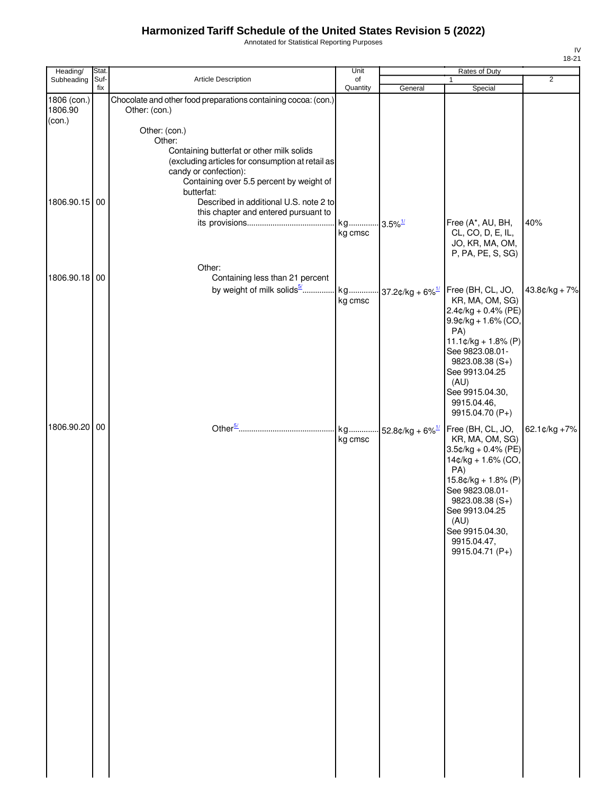Annotated for Statistical Reporting Purposes

| Heading/                         | Stat.       |                                                                                 | Unit                             |                                | Rates of Duty                             |                |
|----------------------------------|-------------|---------------------------------------------------------------------------------|----------------------------------|--------------------------------|-------------------------------------------|----------------|
| Subheading                       | Suf-<br>fix | Article Description                                                             | of<br>Quantity                   | General                        | 1<br>Special                              | $\overline{2}$ |
| 1806 (con.)<br>1806.90<br>(con.) |             | Chocolate and other food preparations containing cocoa: (con.)<br>Other: (con.) |                                  |                                |                                           |                |
|                                  |             | Other: (con.)                                                                   |                                  |                                |                                           |                |
|                                  |             | Other:<br>Containing butterfat or other milk solids                             |                                  |                                |                                           |                |
|                                  |             | (excluding articles for consumption at retail as                                |                                  |                                |                                           |                |
|                                  |             | candy or confection):<br>Containing over 5.5 percent by weight of               |                                  |                                |                                           |                |
|                                  |             | butterfat:                                                                      |                                  |                                |                                           |                |
| 1806.90.15 00                    |             | Described in additional U.S. note 2 to<br>this chapter and entered pursuant to  |                                  |                                |                                           |                |
|                                  |             |                                                                                 | kg 3.5% <sup>1/</sup><br>kg cmsc |                                | Free (A*, AU, BH,<br>CL, CO, D, E, IL,    | 40%            |
|                                  |             |                                                                                 |                                  |                                | JO, KR, MA, OM,                           |                |
|                                  |             |                                                                                 |                                  |                                | P, PA, PE, S, SG)                         |                |
| 1806.90.18 00                    |             | Other:<br>Containing less than 21 percent                                       |                                  |                                |                                           |                |
|                                  |             | by weight of milk solids <sup>5/</sup>   kg  37.2¢/kg + 6% <sup>1/</sup>        |                                  |                                | Free (BH, CL, JO,                         | 43.8¢/kg + 7%  |
|                                  |             |                                                                                 | kg cmsc                          |                                | KR, MA, OM, SG)<br>$2.4$ ¢/kg + 0.4% (PE) |                |
|                                  |             |                                                                                 |                                  |                                | $9.9$ ¢/kg + 1.6% (CO,                    |                |
|                                  |             |                                                                                 |                                  |                                | PA)<br>$11.1¢/kg + 1.8% (P)$              |                |
|                                  |             |                                                                                 |                                  |                                | See 9823.08.01-                           |                |
|                                  |             |                                                                                 |                                  |                                | $9823.08.38(S+)$<br>See 9913.04.25        |                |
|                                  |             |                                                                                 |                                  |                                | (AU)                                      |                |
|                                  |             |                                                                                 |                                  |                                | See 9915.04.30,<br>9915.04.46,            |                |
|                                  |             |                                                                                 |                                  |                                | 9915.04.70 (P+)                           |                |
| 1806.90.20 00                    |             |                                                                                 | kg<br>kg cmsc                    | 52.8¢/kg + $6\%$ <sup>1/</sup> | Free (BH, CL, JO,<br>KR, MA, OM, SG)      | 62.1¢/kg +7%   |
|                                  |             |                                                                                 |                                  |                                | $3.5$ ¢/kg + 0.4% (PE)                    |                |
|                                  |             |                                                                                 |                                  |                                | 14¢/kg + 1.6% (CO,<br>PA)                 |                |
|                                  |             |                                                                                 |                                  |                                | $15.8¢/kg + 1.8% (P)$                     |                |
|                                  |             |                                                                                 |                                  |                                | See 9823.08.01-<br>9823.08.38 (S+)        |                |
|                                  |             |                                                                                 |                                  |                                | See 9913.04.25                            |                |
|                                  |             |                                                                                 |                                  |                                | (AU)<br>See 9915.04.30,                   |                |
|                                  |             |                                                                                 |                                  |                                | 9915.04.47,<br>9915.04.71 (P+)            |                |
|                                  |             |                                                                                 |                                  |                                |                                           |                |
|                                  |             |                                                                                 |                                  |                                |                                           |                |
|                                  |             |                                                                                 |                                  |                                |                                           |                |
|                                  |             |                                                                                 |                                  |                                |                                           |                |
|                                  |             |                                                                                 |                                  |                                |                                           |                |
|                                  |             |                                                                                 |                                  |                                |                                           |                |
|                                  |             |                                                                                 |                                  |                                |                                           |                |
|                                  |             |                                                                                 |                                  |                                |                                           |                |
|                                  |             |                                                                                 |                                  |                                |                                           |                |
|                                  |             |                                                                                 |                                  |                                |                                           |                |
|                                  |             |                                                                                 |                                  |                                |                                           |                |
|                                  |             |                                                                                 |                                  |                                |                                           |                |
|                                  |             |                                                                                 |                                  |                                |                                           |                |
|                                  |             |                                                                                 |                                  |                                |                                           |                |
|                                  |             |                                                                                 |                                  |                                |                                           |                |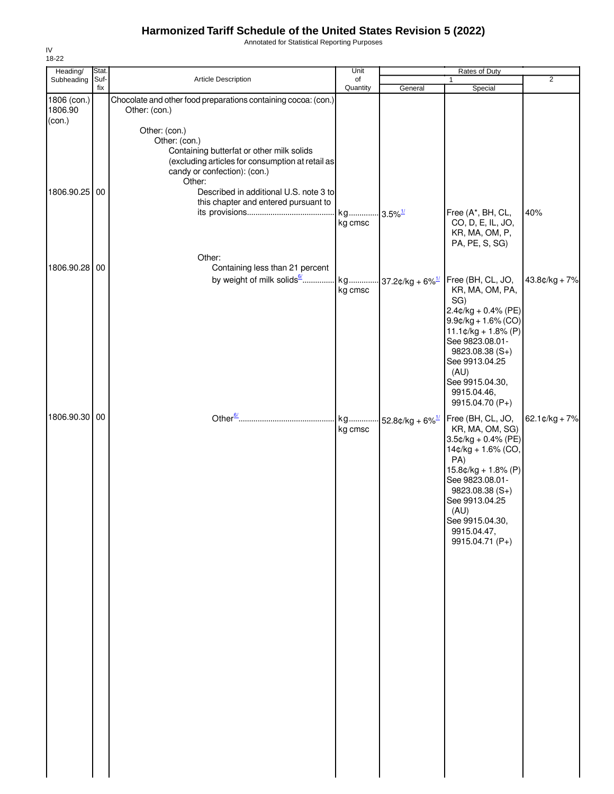Annotated for Statistical Reporting Purposes

| Heading/                         | Stat.       |                                                                                                                                                                           | Unit           | Rates of Duty                  |                                                                                                                                                                                                                                                              |                          |  |
|----------------------------------|-------------|---------------------------------------------------------------------------------------------------------------------------------------------------------------------------|----------------|--------------------------------|--------------------------------------------------------------------------------------------------------------------------------------------------------------------------------------------------------------------------------------------------------------|--------------------------|--|
| Subheading                       | Suf-<br>fix | Article Description                                                                                                                                                       | of<br>Quantity | General                        | 1<br>Special                                                                                                                                                                                                                                                 | $\overline{2}$           |  |
| 1806 (con.)<br>1806.90<br>(con.) |             | Chocolate and other food preparations containing cocoa: (con.)<br>Other: (con.)                                                                                           |                |                                |                                                                                                                                                                                                                                                              |                          |  |
|                                  |             | Other: (con.)<br>Other: (con.)<br>Containing butterfat or other milk solids<br>(excluding articles for consumption at retail as<br>candy or confection): (con.)<br>Other: |                |                                |                                                                                                                                                                                                                                                              |                          |  |
| 1806.90.25 00                    |             | Described in additional U.S. note 3 to<br>this chapter and entered pursuant to                                                                                            | kg             | $3.5\%$ <sup>1/</sup>          | Free (A*, BH, CL,                                                                                                                                                                                                                                            | 40%                      |  |
|                                  |             |                                                                                                                                                                           | kg cmsc        |                                | CO, D, E, IL, JO,<br>KR, MA, OM, P,<br>PA, PE, S, SG)                                                                                                                                                                                                        |                          |  |
| 1806.90.28 00                    |             | Other:<br>Containing less than 21 percent                                                                                                                                 |                |                                |                                                                                                                                                                                                                                                              |                          |  |
|                                  |             | by weight of milk solids <sup>6</sup>                                                                                                                                     | kg<br>kg cmsc  | 37.2¢/kg + $6\%$ <sup>1/</sup> | Free (BH, CL, JO,<br>KR, MA, OM, PA,<br>SG)<br>$2.4$ ¢/kg + 0.4% (PE)<br>$9.9$ ¢/kg + 1.6% (CO)<br>$11.1¢/kg + 1.8% (P)$                                                                                                                                     | 43.8¢/kg + 7%            |  |
|                                  |             |                                                                                                                                                                           |                |                                | See 9823.08.01-<br>9823.08.38 (S+)<br>See 9913.04.25<br>(AU)<br>See 9915.04.30,<br>9915.04.46,                                                                                                                                                               |                          |  |
| 1806.90.30 00                    |             |                                                                                                                                                                           | kg<br>kg cmsc  | 52.8¢/kg + $6\%$ <sup>1/</sup> | 9915.04.70 (P+)<br>Free (BH, CL, JO,<br>KR, MA, OM, SG)<br>$3.5$ ¢/kg + 0.4% (PE)<br>14¢/kg + 1.6% (CO,<br>PA)<br>$15.8¢/kg + 1.8% (P)$<br>See 9823.08.01-<br>9823.08.38 (S+)<br>See 9913.04.25<br>(AU)<br>See 9915.04.30,<br>9915.04.47,<br>9915.04.71 (P+) | $62.1 \text{C/kg} + 7\%$ |  |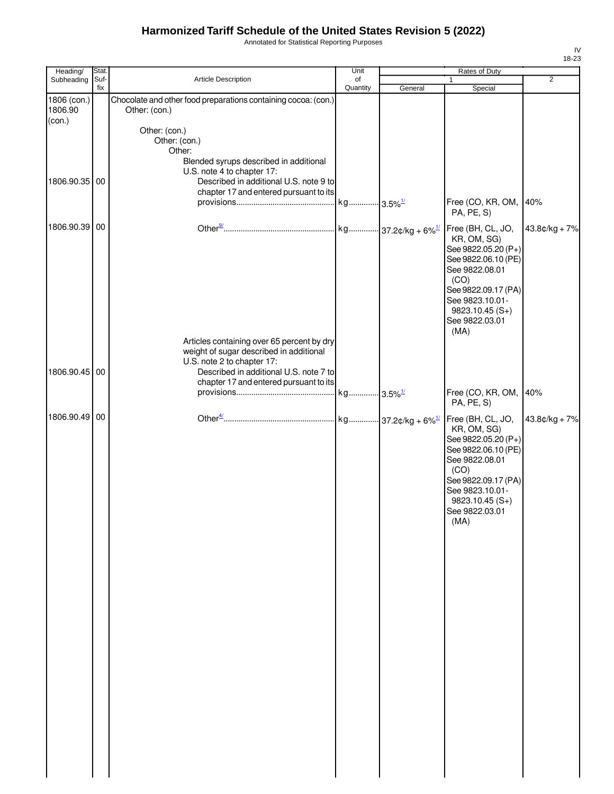Annotated for Statistical Reporting Purposes

| Heading/<br>Subheading | Stat.<br>Suf- | Article Description                                                              | Unit<br>of |         | Rates of Duty<br>1                                                                                                                                                                               | $\overline{2}$  |
|------------------------|---------------|----------------------------------------------------------------------------------|------------|---------|--------------------------------------------------------------------------------------------------------------------------------------------------------------------------------------------------|-----------------|
| 1806 (con.)            | fix           | Chocolate and other food preparations containing cocoa: (con.)                   | Quantity   | General | Special                                                                                                                                                                                          |                 |
| 1806.90                |               | Other: (con.)                                                                    |            |         |                                                                                                                                                                                                  |                 |
| $con.$                 |               | Other: (con.)                                                                    |            |         |                                                                                                                                                                                                  |                 |
|                        |               | Other: (con.)                                                                    |            |         |                                                                                                                                                                                                  |                 |
|                        |               | Other:<br>Blended syrups described in additional                                 |            |         |                                                                                                                                                                                                  |                 |
|                        |               | U.S. note 4 to chapter 17:                                                       |            |         |                                                                                                                                                                                                  |                 |
| 1806.90.35 00          |               | Described in additional U.S. note 9 to<br>chapter 17 and entered pursuant to its |            |         |                                                                                                                                                                                                  |                 |
|                        |               |                                                                                  |            |         | Free (CO, KR, OM,<br>PA, PE, S)                                                                                                                                                                  | 40%             |
| 1806.90.39 00          |               |                                                                                  |            |         | Free (BH, CL, JO,<br>KR, OM, SG)<br>See 9822.05.20 (P+)<br>See 9822.06.10 (PE)<br>See 9822.08.01<br>(CO)<br>See 9822.09.17 (PA)<br>See 9823.10.01-<br>$9823.10.45(S+)$<br>See 9822.03.01<br>(MA) | $43.8¢/kg + 7%$ |
|                        |               | Articles containing over 65 percent by dry                                       |            |         |                                                                                                                                                                                                  |                 |
|                        |               | weight of sugar described in additional<br>U.S. note 2 to chapter 17:            |            |         |                                                                                                                                                                                                  |                 |
| 1806.90.45 00          |               | Described in additional U.S. note 7 to<br>chapter 17 and entered pursuant to its |            |         |                                                                                                                                                                                                  |                 |
|                        |               |                                                                                  |            |         | Free (CO, KR, OM,<br>PA, PE, S)                                                                                                                                                                  | 40%             |
| 1806.90.49 00          |               |                                                                                  |            |         | Free (BH, CL, JO,<br>KR, OM, SG)<br>See 9822.05.20 (P+)<br>See 9822.06.10 (PE)<br>See 9822.08.01<br>(CO)<br>See 9822.09.17 (PA)<br>See 9823.10.01-<br>$9823.10.45(S+)$<br>See 9822.03.01<br>(MA) | $43.8¢/kg + 7%$ |
|                        |               |                                                                                  |            |         |                                                                                                                                                                                                  |                 |
|                        |               |                                                                                  |            |         |                                                                                                                                                                                                  |                 |
|                        |               |                                                                                  |            |         |                                                                                                                                                                                                  |                 |
|                        |               |                                                                                  |            |         |                                                                                                                                                                                                  |                 |
|                        |               |                                                                                  |            |         |                                                                                                                                                                                                  |                 |
|                        |               |                                                                                  |            |         |                                                                                                                                                                                                  |                 |
|                        |               |                                                                                  |            |         |                                                                                                                                                                                                  |                 |
|                        |               |                                                                                  |            |         |                                                                                                                                                                                                  |                 |
|                        |               |                                                                                  |            |         |                                                                                                                                                                                                  |                 |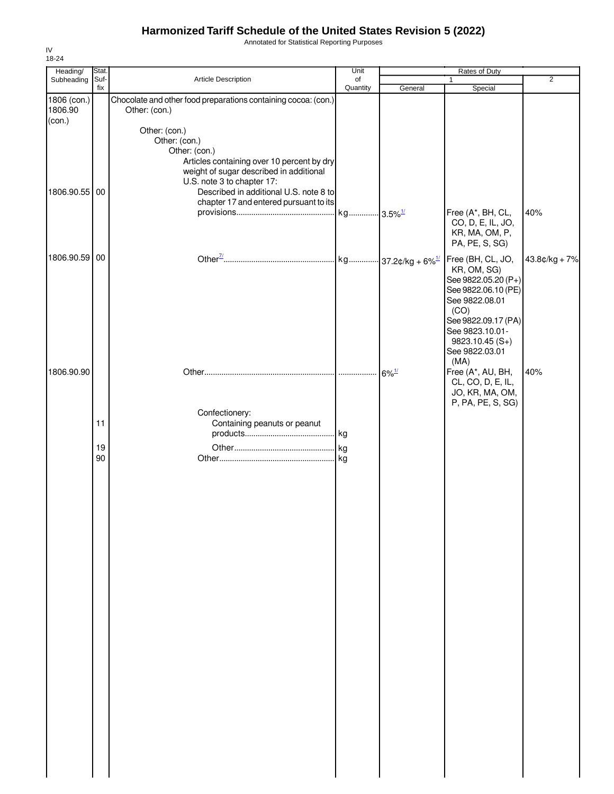Annotated for Statistical Reporting Purposes

| Heading/      | Stat.       |                                                                       | Unit           |                     | Rates of Duty                          |                 |
|---------------|-------------|-----------------------------------------------------------------------|----------------|---------------------|----------------------------------------|-----------------|
| Subheading    | Suf-<br>fix | Article Description                                                   | of<br>Quantity | General             | $\mathbf{1}$<br>Special                | $\overline{2}$  |
| 1806 (con.)   |             | Chocolate and other food preparations containing cocoa: (con.)        |                |                     |                                        |                 |
| 1806.90       |             | Other: (con.)                                                         |                |                     |                                        |                 |
| (con.)        |             | Other: (con.)                                                         |                |                     |                                        |                 |
|               |             | Other: (con.)                                                         |                |                     |                                        |                 |
|               |             | Other: (con.)                                                         |                |                     |                                        |                 |
|               |             | Articles containing over 10 percent by dry                            |                |                     |                                        |                 |
|               |             | weight of sugar described in additional<br>U.S. note 3 to chapter 17: |                |                     |                                        |                 |
| 1806.90.55 00 |             | Described in additional U.S. note 8 to                                |                |                     |                                        |                 |
|               |             | chapter 17 and entered pursuant to its                                |                |                     |                                        |                 |
|               |             |                                                                       |                |                     | Free (A*, BH, CL,<br>CO, D, E, IL, JO, | 40%             |
|               |             |                                                                       |                |                     | KR, MA, OM, P,                         |                 |
|               |             |                                                                       |                |                     | PA, PE, S, SG)                         |                 |
| 1806.90.59 00 |             |                                                                       |                |                     | Free (BH, CL, JO,                      | $43.8¢/kg + 7%$ |
|               |             |                                                                       |                |                     | KR, OM, SG)                            |                 |
|               |             |                                                                       |                |                     | See 9822.05.20 (P+)                    |                 |
|               |             |                                                                       |                |                     | See 9822.06.10 (PE)<br>See 9822.08.01  |                 |
|               |             |                                                                       |                |                     | (CO)                                   |                 |
|               |             |                                                                       |                |                     | See 9822.09.17 (PA)                    |                 |
|               |             |                                                                       |                |                     | See 9823.10.01-                        |                 |
|               |             |                                                                       |                |                     | $9823.10.45(S+)$<br>See 9822.03.01     |                 |
|               |             |                                                                       |                |                     | (MA)                                   |                 |
| 1806.90.90    |             |                                                                       |                | $6\%$ <sup>1/</sup> | Free (A*, AU, BH,                      | 40%             |
|               |             |                                                                       |                |                     | CL, CO, D, E, IL,<br>JO, KR, MA, OM,   |                 |
|               |             |                                                                       |                |                     | P, PA, PE, S, SG)                      |                 |
|               |             | Confectionery:                                                        |                |                     |                                        |                 |
|               | 11          | Containing peanuts or peanut                                          |                |                     |                                        |                 |
|               |             |                                                                       |                |                     |                                        |                 |
|               | 19<br>90    |                                                                       |                |                     |                                        |                 |
|               |             |                                                                       |                |                     |                                        |                 |
|               |             |                                                                       |                |                     |                                        |                 |
|               |             |                                                                       |                |                     |                                        |                 |
|               |             |                                                                       |                |                     |                                        |                 |
|               |             |                                                                       |                |                     |                                        |                 |
|               |             |                                                                       |                |                     |                                        |                 |
|               |             |                                                                       |                |                     |                                        |                 |
|               |             |                                                                       |                |                     |                                        |                 |
|               |             |                                                                       |                |                     |                                        |                 |
|               |             |                                                                       |                |                     |                                        |                 |
|               |             |                                                                       |                |                     |                                        |                 |
|               |             |                                                                       |                |                     |                                        |                 |
|               |             |                                                                       |                |                     |                                        |                 |
|               |             |                                                                       |                |                     |                                        |                 |
|               |             |                                                                       |                |                     |                                        |                 |
|               |             |                                                                       |                |                     |                                        |                 |
|               |             |                                                                       |                |                     |                                        |                 |
|               |             |                                                                       |                |                     |                                        |                 |
|               |             |                                                                       |                |                     |                                        |                 |
|               |             |                                                                       |                |                     |                                        |                 |
|               |             |                                                                       |                |                     |                                        |                 |
|               |             |                                                                       |                |                     |                                        |                 |
|               |             |                                                                       |                |                     |                                        |                 |
|               |             |                                                                       |                |                     |                                        |                 |